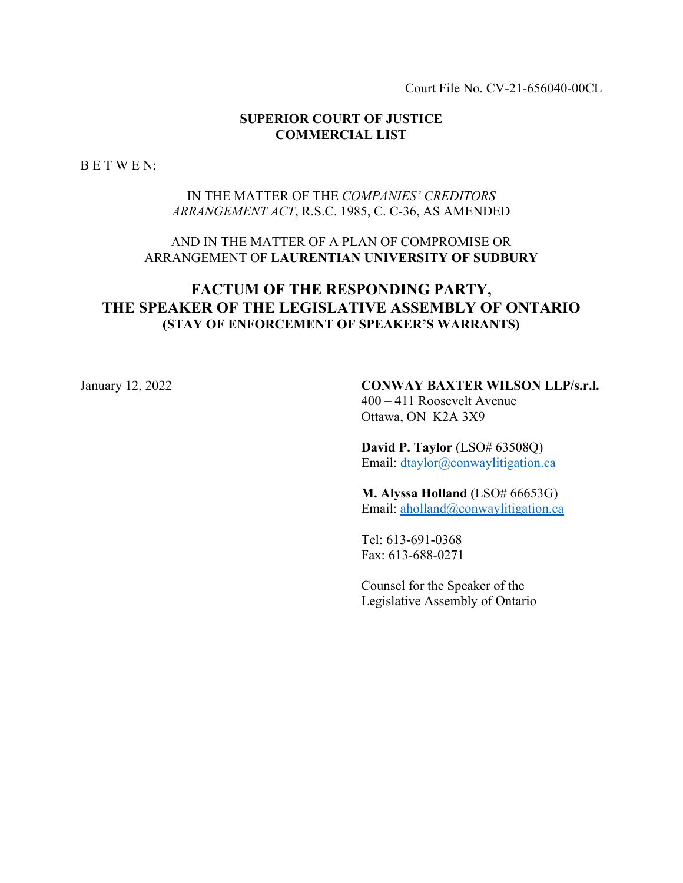Court File No. CV-21-656040-00CL

## **SUPERIOR COURT OF JUSTICE COMMERCIAL LIST**

B E T W E N:

## IN THE MATTER OF THE *COMPANIES' CREDITORS ARRANGEMENT ACT*, R.S.C. 1985, C. C-36, AS AMENDED

## AND IN THE MATTER OF A PLAN OF COMPROMISE OR ARRANGEMENT OF **LAURENTIAN UNIVERSITY OF SUDBURY**

# **FACTUM OF THE RESPONDING PARTY, THE SPEAKER OF THE LEGISLATIVE ASSEMBLY OF ONTARIO (STAY OF ENFORCEMENT OF SPEAKER'S WARRANTS)**

# January 12, 2022 **CONWAY BAXTER WILSON LLP/s.r.l.**

400 – 411 Roosevelt Avenue Ottawa, ON K2A 3X9

**David P. Taylor** (LSO# 63508Q) Email: [dtaylor@conwaylitigation.ca](mailto:dtaylor@conwaylitigation.ca)

#### **M. Alyssa Holland** (LSO# 66653G)

Email: [aholland@conwaylitigation.ca](mailto:aholland@conwaylitigation.ca)

Tel: 613-691-0368 Fax: 613-688-0271

Counsel for the Speaker of the Legislative Assembly of Ontario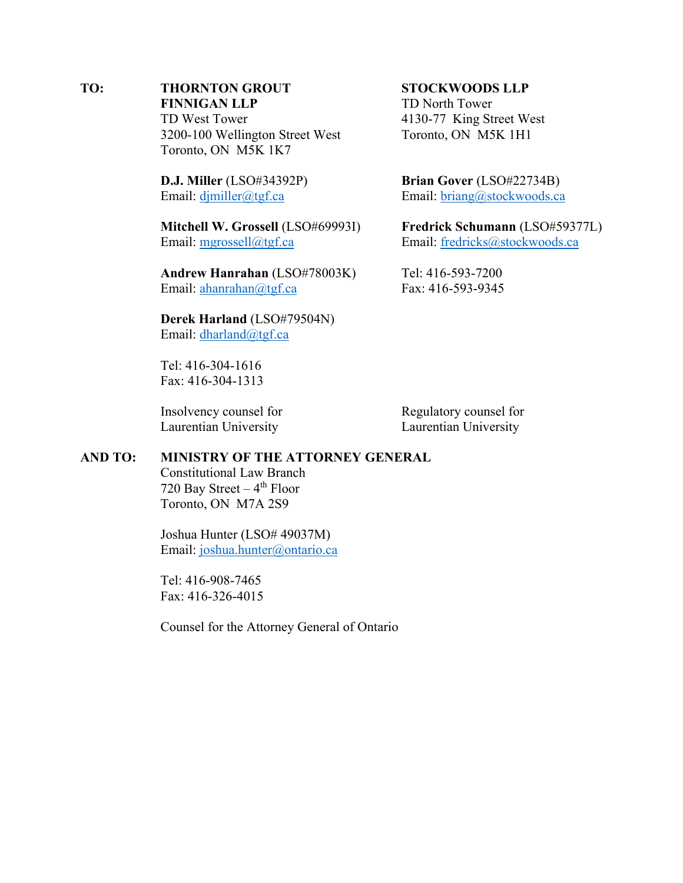## **TO: THORNTON GROUT STOCKWOODS LLP FINNIGAN LLP** TD North Tower TD West Tower 4130-77 King Street West 3200-100 Wellington Street West Toronto, ON M5K 1H1 Toronto, ON M5K 1K7

**D.J. Miller** (LSO#34392P) **Brian Gover** (LSO#22734B)

**Mitchell W. Grossell** (LSO#69993I) **Fredrick Schumann** (LSO#59377L) Email: [mgrossell@tgf.ca](mailto:mgrossell@tgf.ca) Email: [fredricks@stockwoods.ca](mailto:fredricks@stockwoods.ca)

**Andrew Hanrahan** (LSO#78003K) Tel: 416-593-7200 Email: [ahanrahan@tgf.ca](mailto:ahanrahan@tgf.ca) Fax: 416-593-9345

**Derek Harland** (LSO#79504N) Email: [dharland@tgf.ca](mailto:dharland@tgf.ca)

Tel: 416-304-1616 Fax: 416-304-1313

Laurentian University Laurentian University

Insolvency counsel for Regulatory counsel for

## **AND TO: MINISTRY OF THE ATTORNEY GENERAL**

Constitutional Law Branch 720 Bay Street  $-4$ <sup>th</sup> Floor Toronto, ON M7A 2S9

Joshua Hunter (LSO# 49037M) Email: [joshua.hunter@ontario.ca](mailto:joshua.hunter@ontario.ca)

Tel: 416-908-7465 Fax: 416-326-4015

Counsel for the Attorney General of Ontario

Email: [djmiller@tgf.ca](mailto:djmiller@tgf.ca) Email: [briang@stockwoods.ca](mailto:briang@stockwoods.ca)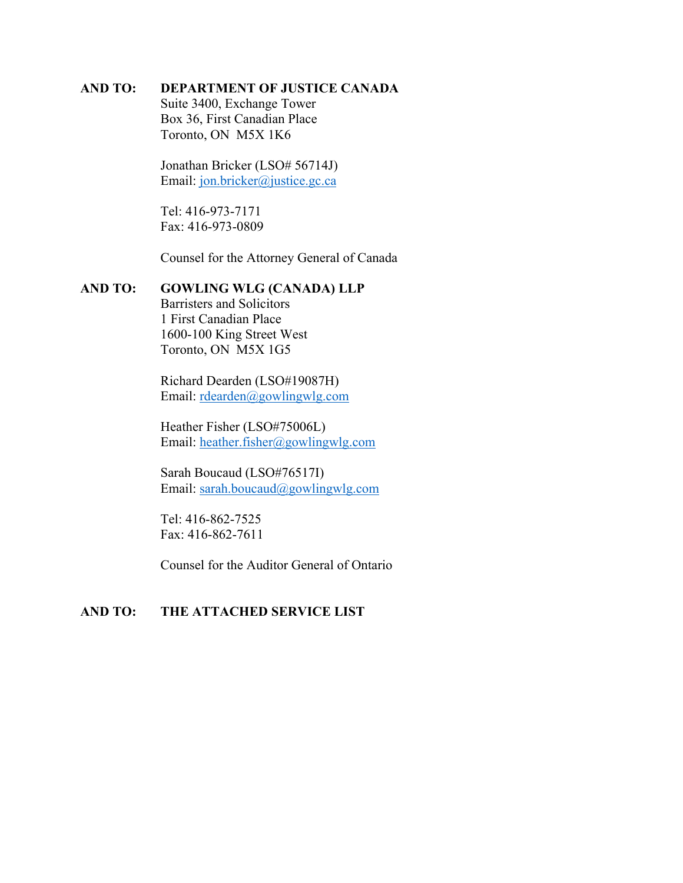## **AND TO: DEPARTMENT OF JUSTICE CANADA**

Suite 3400, Exchange Tower Box 36, First Canadian Place Toronto, ON M5X 1K6

Jonathan Bricker (LSO# 56714J) Email: [jon.bricker@justice.gc.ca](mailto:jon.bricker@justice.gc.ca)

Tel: 416-973-7171 Fax: 416-973-0809

Counsel for the Attorney General of Canada

## **AND TO: GOWLING WLG (CANADA) LLP**

Barristers and Solicitors 1 First Canadian Place 1600-100 King Street West Toronto, ON M5X 1G5

Richard Dearden (LSO#19087H) Email: [rdearden@gowlingwlg.com](mailto:rdearden@gowlingwlg.com)

Heather Fisher (LSO#75006L) Email: [heather.fisher@gowlingwlg.com](mailto:heather.fisher@gowlingwlg.com)

Sarah Boucaud (LSO#76517I) Email: [sarah.boucaud@gowlingwlg.com](mailto:sarah.boucaud@gowlingwlg.com)

Tel: 416-862-7525 Fax: 416-862-7611

Counsel for the Auditor General of Ontario

## **AND TO: THE ATTACHED SERVICE LIST**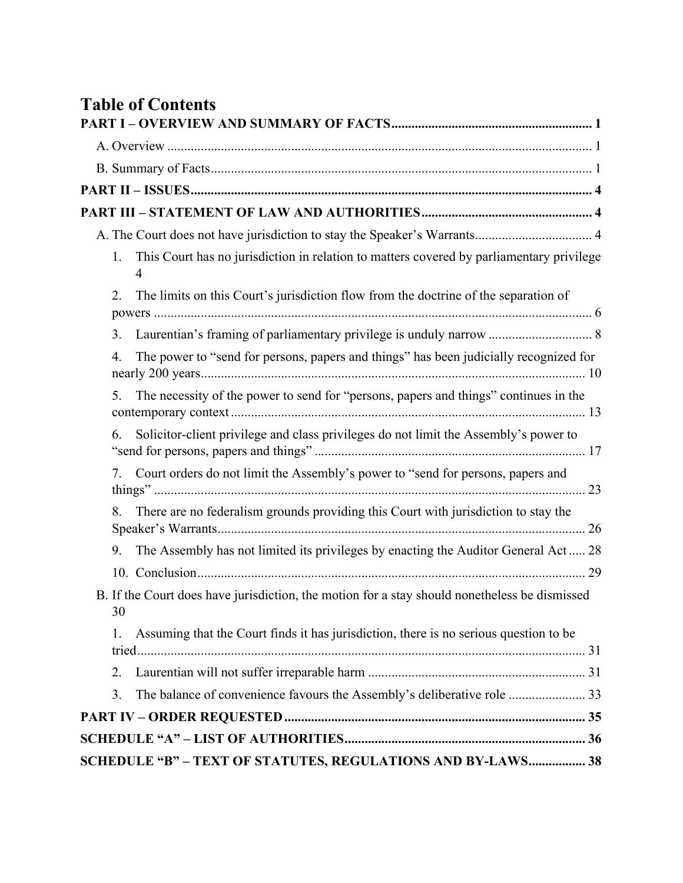|    | <b>Table of Contents</b>                                                                                   |
|----|------------------------------------------------------------------------------------------------------------|
|    |                                                                                                            |
|    |                                                                                                            |
|    |                                                                                                            |
|    |                                                                                                            |
|    |                                                                                                            |
|    |                                                                                                            |
| 1. | This Court has no jurisdiction in relation to matters covered by parliamentary privilege<br>$\overline{4}$ |
| 2. | The limits on this Court's jurisdiction flow from the doctrine of the separation of                        |
|    |                                                                                                            |
| 4. | The power to "send for persons, papers and things" has been judicially recognized for                      |
| 5. | The necessity of the power to send for "persons, papers and things" continues in the                       |
| 6. | Solicitor-client privilege and class privileges do not limit the Assembly's power to                       |
| 7. | Court orders do not limit the Assembly's power to "send for persons, papers and                            |
| 8. | There are no federalism grounds providing this Court with jurisdiction to stay the                         |
| 9. | The Assembly has not limited its privileges by enacting the Auditor General Act 28                         |
|    |                                                                                                            |
| 30 | B. If the Court does have jurisdiction, the motion for a stay should nonetheless be dismissed              |
| 1. | Assuming that the Court finds it has jurisdiction, there is no serious question to be                      |
| 2. |                                                                                                            |
| 3. |                                                                                                            |
|    |                                                                                                            |
|    |                                                                                                            |
|    | SCHEDULE "B" - TEXT OF STATUTES, REGULATIONS AND BY-LAWS 38                                                |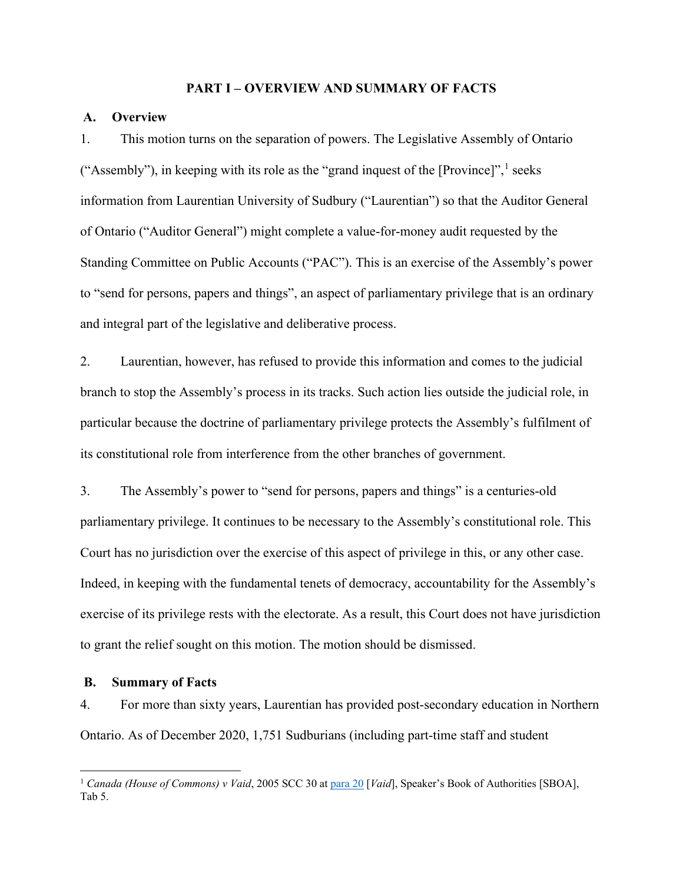#### **PART I – OVERVIEW AND SUMMARY OF FACTS**

#### <span id="page-4-1"></span><span id="page-4-0"></span>**A. Overview**

1. This motion turns on the separation of powers. The Legislative Assembly of Ontario ("Assembly"), in keeping with its role as the "grand inquest of the  $[Province]$ ", seeks information from Laurentian University of Sudbury ("Laurentian") so that the Auditor General of Ontario ("Auditor General") might complete a value-for-money audit requested by the Standing Committee on Public Accounts ("PAC"). This is an exercise of the Assembly's power to "send for persons, papers and things", an aspect of parliamentary privilege that is an ordinary and integral part of the legislative and deliberative process.

2. Laurentian, however, has refused to provide this information and comes to the judicial branch to stop the Assembly's process in its tracks. Such action lies outside the judicial role, in particular because the doctrine of parliamentary privilege protects the Assembly's fulfilment of its constitutional role from interference from the other branches of government.

3. The Assembly's power to "send for persons, papers and things" is a centuries-old parliamentary privilege. It continues to be necessary to the Assembly's constitutional role. This Court has no jurisdiction over the exercise of this aspect of privilege in this, or any other case. Indeed, in keeping with the fundamental tenets of democracy, accountability for the Assembly's exercise of its privilege rests with the electorate. As a result, this Court does not have jurisdiction to grant the relief sought on this motion. The motion should be dismissed.

#### <span id="page-4-2"></span>**B. Summary of Facts**

4. For more than sixty years, Laurentian has provided post-secondary education in Northern Ontario. As of December 2020, 1,751 Sudburians (including part-time staff and student

<span id="page-4-3"></span><sup>&</sup>lt;sup>1</sup> Canada (House of Commons) v Vaid, 2005 SCC 30 at [para 20](https://canlii.ca/t/1kt5k#par20) [Vaid], Speaker's Book of Authorities [SBOA], Tab 5.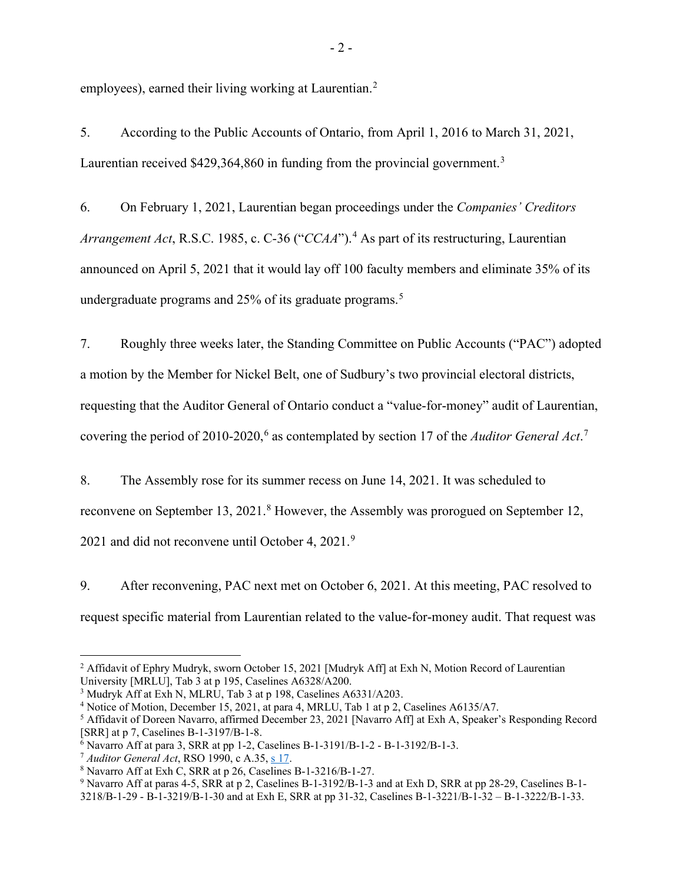employees), earned their living working at Laurentian.<sup>[2](#page-5-0)</sup>

5. According to the Public Accounts of Ontario, from April 1, 2016 to March 31, 2021, Laurentian received \$429,[3](#page-5-1)64,860 in funding from the provincial government.<sup>3</sup>

6. On February 1, 2021, Laurentian began proceedings under the *Companies' Creditors Arrangement Act*, R.S.C. 1985, c. C-36 ("*CCAA*").[4](#page-5-2) As part of its restructuring, Laurentian announced on April 5, 2021 that it would lay off 100 faculty members and eliminate 35% of its undergraduate programs and 2[5](#page-5-3)% of its graduate programs.<sup>5</sup>

7. Roughly three weeks later, the Standing Committee on Public Accounts ("PAC") adopted a motion by the Member for Nickel Belt, one of Sudbury's two provincial electoral districts, requesting that the Auditor General of Ontario conduct a "value-for-money" audit of Laurentian, covering the period of 2010-2020, [6](#page-5-4) as contemplated by section 17 of the *Auditor General Act*. [7](#page-5-5)

8. The Assembly rose for its summer recess on June 14, 2021. It was scheduled to reconvene on September 13, 2021.<sup>[8](#page-5-6)</sup> However, the Assembly was prorogued on September 12, 2021 and did not reconvene until October 4, 2021.<sup>[9](#page-5-7)</sup>

9. After reconvening, PAC next met on October 6, 2021. At this meeting, PAC resolved to request specific material from Laurentian related to the value-for-money audit. That request was

<span id="page-5-0"></span><sup>&</sup>lt;sup>2</sup> Affidavit of Ephry Mudryk, sworn October 15, 2021 [Mudryk Aff] at Exh N, Motion Record of Laurentian University [MRLU], Tab 3 at p 195, Caselines A6328/A200.

<span id="page-5-1"></span><sup>3</sup> Mudryk Aff at Exh N, MLRU, Tab 3 at p 198, Caselines A6331/A203.

<span id="page-5-2"></span><sup>4</sup> Notice of Motion, December 15, 2021, at para 4, MRLU, Tab 1 at p 2, Caselines A6135/A7.

<span id="page-5-3"></span><sup>5</sup> Affidavit of Doreen Navarro, affirmed December 23, 2021 [Navarro Aff] at Exh A, Speaker's Responding Record [SRR] at p 7, Caselines B-1-3197/B-1-8.

<span id="page-5-4"></span> $6$  Navarro Aff at para 3, SRR at pp 1-2, Caselines B-1-3191/B-1-2 - B-1-3192/B-1-3.

<span id="page-5-5"></span><sup>7</sup> *Auditor General Act*, RSO 1990, c A.35, [s 17.](https://www.ontario.ca/laws/statute/90a35#BK29)

<span id="page-5-6"></span><sup>8</sup> Navarro Aff at Exh C, SRR at p 26, Caselines B-1-3216/B-1-27.

<span id="page-5-7"></span><sup>9</sup> Navarro Aff at paras 4-5, SRR at p 2, Caselines B-1-3192/B-1-3 and at Exh D, SRR at pp 28-29, Caselines B-1-

<sup>3218/</sup>B-1-29 - B-1-3219/B-1-30 and at Exh E, SRR at pp 31-32, Caselines B-1-3221/B-1-32 – B-1-3222/B-1-33.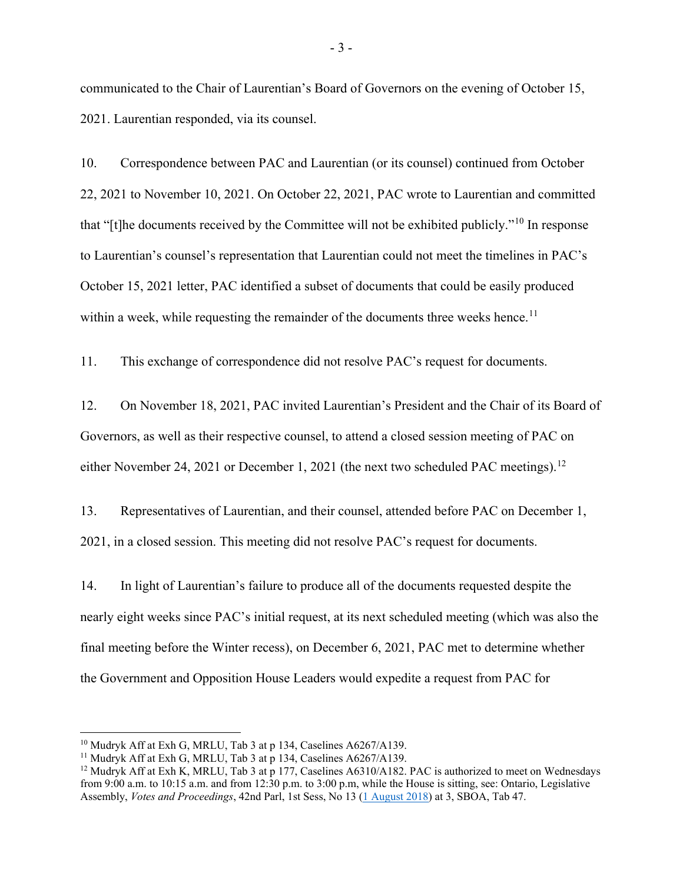communicated to the Chair of Laurentian's Board of Governors on the evening of October 15, 2021. Laurentian responded, via its counsel.

10. Correspondence between PAC and Laurentian (or its counsel) continued from October 22, 2021 to November 10, 2021. On October 22, 2021, PAC wrote to Laurentian and committed that "[t]he documents received by the Committee will not be exhibited publicly."[10](#page-6-0) In response to Laurentian's counsel's representation that Laurentian could not meet the timelines in PAC's October 15, 2021 letter, PAC identified a subset of documents that could be easily produced within a week, while requesting the remainder of the documents three weeks hence.<sup>[11](#page-6-1)</sup>

11. This exchange of correspondence did not resolve PAC's request for documents.

12. On November 18, 2021, PAC invited Laurentian's President and the Chair of its Board of Governors, as well as their respective counsel, to attend a closed session meeting of PAC on either November 24, 2021 or December 1, 2021 (the next two scheduled PAC meetings).<sup>[12](#page-6-2)</sup>

13. Representatives of Laurentian, and their counsel, attended before PAC on December 1, 2021, in a closed session. This meeting did not resolve PAC's request for documents.

14. In light of Laurentian's failure to produce all of the documents requested despite the nearly eight weeks since PAC's initial request, at its next scheduled meeting (which was also the final meeting before the Winter recess), on December 6, 2021, PAC met to determine whether the Government and Opposition House Leaders would expedite a request from PAC for

<span id="page-6-0"></span> $10$  Mudryk Aff at Exh G, MRLU, Tab 3 at p 134, Caselines A6267/A139.

<span id="page-6-1"></span><sup>&</sup>lt;sup>11</sup> Mudryk Aff at Exh G, MRLU, Tab 3 at p 134, Caselines A6267/A139.

<span id="page-6-2"></span><sup>&</sup>lt;sup>12</sup> Mudryk Aff at Exh K, MRLU, Tab 3 at p 177, Caselines A6310/A182. PAC is authorized to meet on Wednesdays from 9:00 a.m. to 10:15 a.m. and from 12:30 p.m. to 3:00 p.m, while the House is sitting, see: Ontario, Legislative Assembly, *Votes and Proceedings*, 42nd Parl, 1st Sess, No 13 [\(1 August](https://www.ola.org/sites/default/files/node-files/house/document/pdf/2018/2018-08/013_August_01_2018_Votes.pdf) 2018) at 3, SBOA, Tab 47.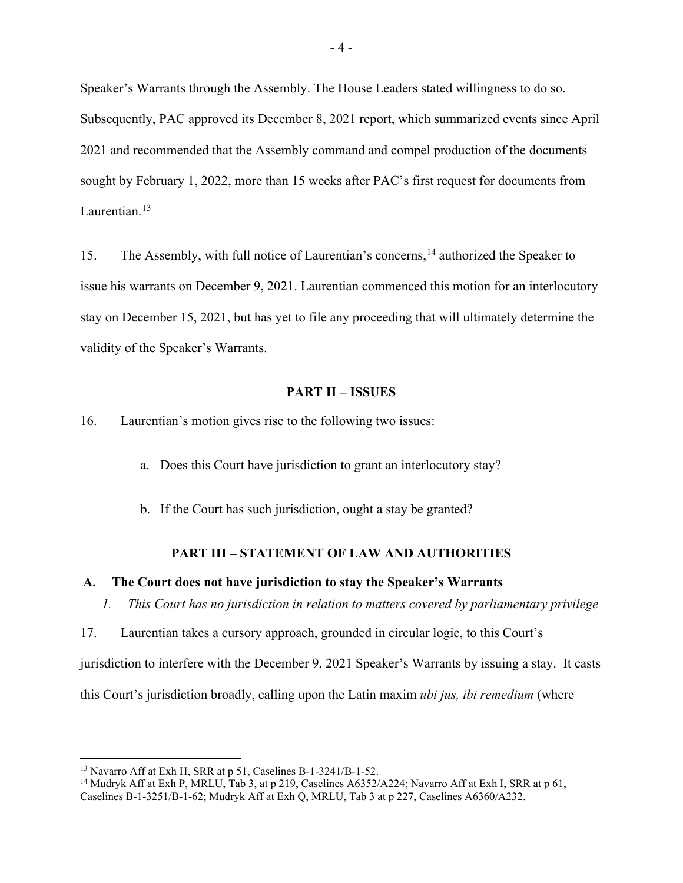Speaker's Warrants through the Assembly. The House Leaders stated willingness to do so. Subsequently, PAC approved its December 8, 2021 report, which summarized events since April 2021 and recommended that the Assembly command and compel production of the documents sought by February 1, 2022, more than 15 weeks after PAC's first request for documents from Laurentian.<sup>[13](#page-7-4)</sup>

15. The Assembly, with full notice of Laurentian's concerns, <sup>[14](#page-7-5)</sup> authorized the Speaker to issue his warrants on December 9, 2021. Laurentian commenced this motion for an interlocutory stay on December 15, 2021, but has yet to file any proceeding that will ultimately determine the validity of the Speaker's Warrants.

#### **PART II – ISSUES**

<span id="page-7-0"></span>16. Laurentian's motion gives rise to the following two issues:

- a. Does this Court have jurisdiction to grant an interlocutory stay?
- b. If the Court has such jurisdiction, ought a stay be granted?

#### **PART III – STATEMENT OF LAW AND AUTHORITIES**

#### <span id="page-7-3"></span><span id="page-7-2"></span><span id="page-7-1"></span>**A. The Court does not have jurisdiction to stay the Speaker's Warrants**

*1. This Court has no jurisdiction in relation to matters covered by parliamentary privilege*

17. Laurentian takes a cursory approach, grounded in circular logic, to this Court's

jurisdiction to interfere with the December 9, 2021 Speaker's Warrants by issuing a stay. It casts

this Court's jurisdiction broadly, calling upon the Latin maxim *ubi jus, ibi remedium* (where

<span id="page-7-4"></span><sup>13</sup> Navarro Aff at Exh H, SRR at p 51, Caselines B-1-3241/B-1-52.

<span id="page-7-5"></span><sup>&</sup>lt;sup>14</sup> Mudryk Aff at Exh P, MRLU, Tab 3, at p 219, Caselines A6352/A224; Navarro Aff at Exh I, SRR at p 61, Caselines B-1-3251/B-1-62; Mudryk Aff at Exh Q, MRLU, Tab 3 at p 227, Caselines A6360/A232.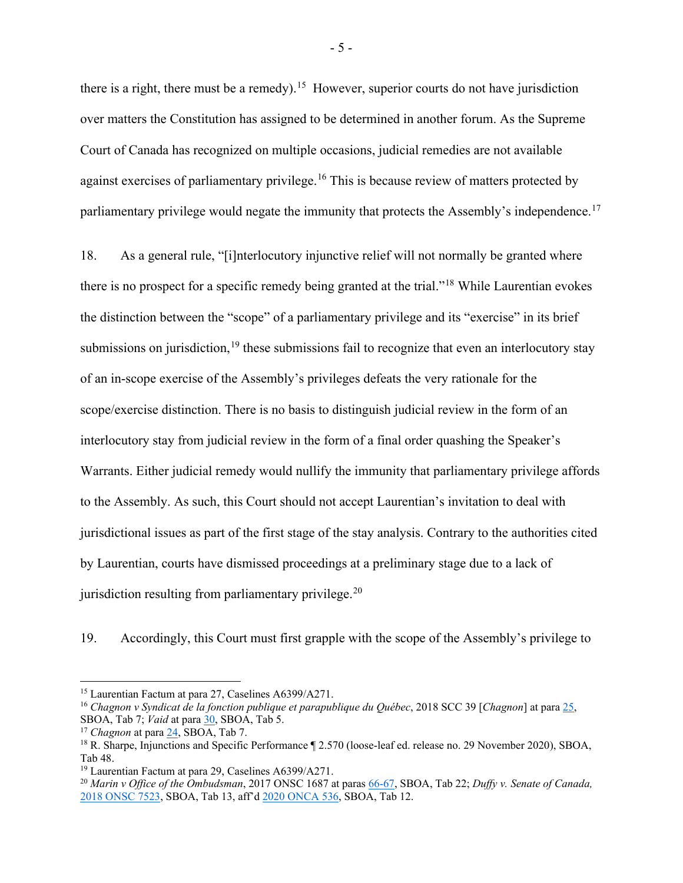there is a right, there must be a remedy).<sup>15</sup> However, superior courts do not have jurisdiction over matters the Constitution has assigned to be determined in another forum. As the Supreme Court of Canada has recognized on multiple occasions, judicial remedies are not available against exercises of parliamentary privilege.<sup>[16](#page-8-1)</sup> This is because review of matters protected by parliamentary privilege would negate the immunity that protects the Assembly's independence.<sup>[17](#page-8-2)</sup>

18. As a general rule, "[i]nterlocutory injunctive relief will not normally be granted where there is no prospect for a specific remedy being granted at the trial."[18](#page-8-3) While Laurentian evokes the distinction between the "scope" of a parliamentary privilege and its "exercise" in its brief submissions on jurisdiction,  $19$  these submissions fail to recognize that even an interlocutory stay of an in-scope exercise of the Assembly's privileges defeats the very rationale for the scope/exercise distinction. There is no basis to distinguish judicial review in the form of an interlocutory stay from judicial review in the form of a final order quashing the Speaker's Warrants. Either judicial remedy would nullify the immunity that parliamentary privilege affords to the Assembly. As such, this Court should not accept Laurentian's invitation to deal with jurisdictional issues as part of the first stage of the stay analysis. Contrary to the authorities cited by Laurentian, courts have dismissed proceedings at a preliminary stage due to a lack of jurisdiction resulting from parliamentary privilege.<sup>[20](#page-8-5)</sup>

19. Accordingly, this Court must first grapple with the scope of the Assembly's privilege to

<span id="page-8-0"></span><sup>15</sup> Laurentian Factum at para 27, Caselines A6399/A271.

<span id="page-8-1"></span><sup>16</sup> *Chagnon v Syndicat de la fonction publique et parapublique du Québec*, 2018 SCC 39 [*Chagnon*] at para [25,](https://canlii.ca/t/hvf8d#par24) SBOA, Tab 7; *Vaid* at para [30,](https://canlii.ca/t/1kt5k#par30) SBOA, Tab 5.

<span id="page-8-2"></span><sup>17</sup> *Chagnon* at par[a 24,](https://canlii.ca/t/hvf8d#par24) SBOA, Tab 7.

<span id="page-8-3"></span><sup>&</sup>lt;sup>18</sup> R. Sharpe, Injunctions and Specific Performance ¶ 2.570 (loose-leaf ed. release no. 29 November 2020), SBOA, Tab 48.

<span id="page-8-4"></span><sup>19</sup> Laurentian Factum at para 29, Caselines A6399/A271.

<span id="page-8-5"></span><sup>&</sup>lt;sup>20</sup> *Marin v Office of the Ombudsman*, 2017 ONSC 1687 at paras [66-67,](https://canlii.ca/t/h1sb9#par66) SBOA, Tab 22; *Duffy v. Senate of Canada*, [2018 ONSC 7523,](https://canlii.ca/t/hwm52) SBOA, Tab 13, aff'd [2020 ONCA 536,](https://www.canlii.org/en/on/onca/doc/2020/2020onca536/2020onca536.html?resultIndex=1) SBOA, Tab 12.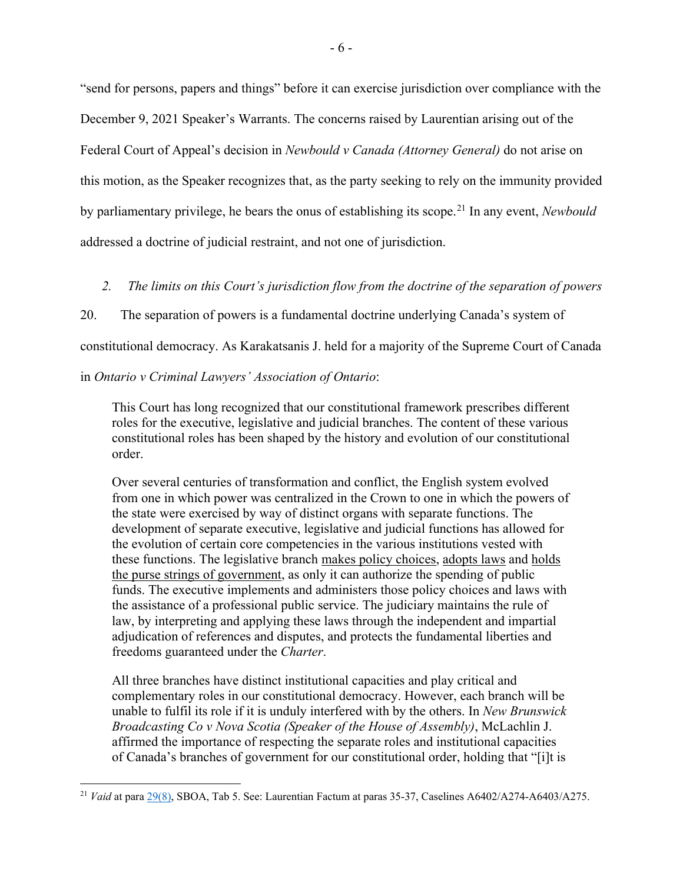"send for persons, papers and things" before it can exercise jurisdiction over compliance with the December 9, 2021 Speaker's Warrants. The concerns raised by Laurentian arising out of the Federal Court of Appeal's decision in *Newbould v Canada (Attorney General)* do not arise on this motion, as the Speaker recognizes that, as the party seeking to rely on the immunity provided by parliamentary privilege, he bears the onus of establishing its scope.[21](#page-9-1) In any event, *Newbould* addressed a doctrine of judicial restraint, and not one of jurisdiction.

<span id="page-9-0"></span>*2. The limits on this Court's jurisdiction flow from the doctrine of the separation of powers*

20. The separation of powers is a fundamental doctrine underlying Canada's system of

constitutional democracy. As Karakatsanis J. held for a majority of the Supreme Court of Canada

in *Ontario v Criminal Lawyers' Association of Ontario*:

This Court has long recognized that our constitutional framework prescribes different roles for the executive, legislative and judicial branches. The content of these various constitutional roles has been shaped by the history and evolution of our constitutional order.

Over several centuries of transformation and conflict, the English system evolved from one in which power was centralized in the Crown to one in which the powers of the state were exercised by way of distinct organs with separate functions. The development of separate executive, legislative and judicial functions has allowed for the evolution of certain core competencies in the various institutions vested with these functions. The legislative branch makes policy choices, adopts laws and holds the purse strings of government, as only it can authorize the spending of public funds. The executive implements and administers those policy choices and laws with the assistance of a professional public service. The judiciary maintains the rule of law, by interpreting and applying these laws through the independent and impartial adjudication of references and disputes, and protects the fundamental liberties and freedoms guaranteed under the *Charter*.

All three branches have distinct institutional capacities and play critical and complementary roles in our constitutional democracy. However, each branch will be unable to fulfil its role if it is unduly interfered with by the others. In *New Brunswick Broadcasting Co v Nova Scotia (Speaker of the House of Assembly)*, McLachlin J. affirmed the importance of respecting the separate roles and institutional capacities of Canada's branches of government for our constitutional order, holding that "[i]t is

<span id="page-9-1"></span><sup>&</sup>lt;sup>21</sup> *Vaid* at para [29\(8\),](https://canlii.ca/t/1kt5k#par29) SBOA, Tab 5. See: Laurentian Factum at paras 35-37, Caselines A6402/A274-A6403/A275.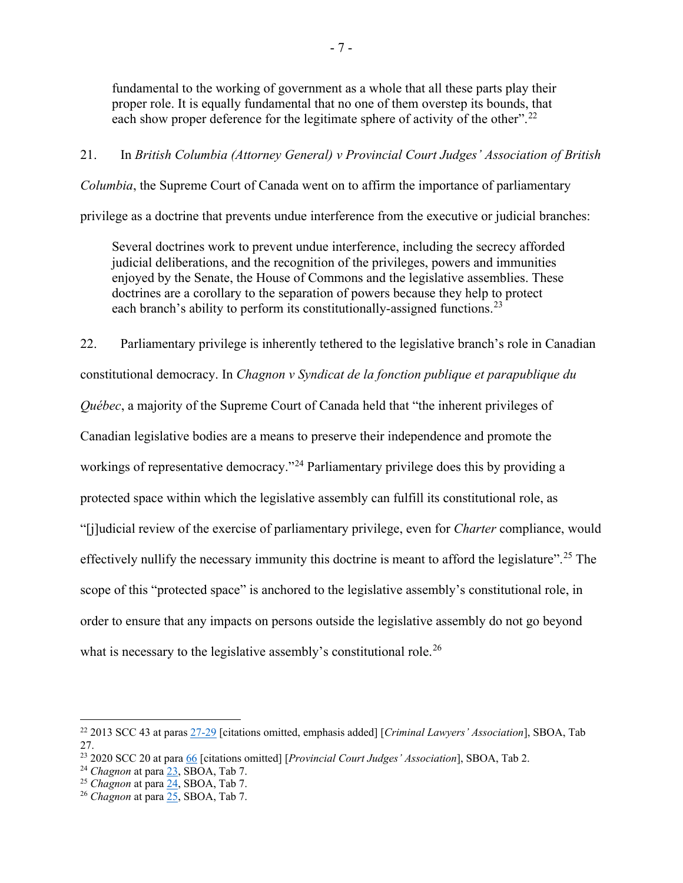fundamental to the working of government as a whole that all these parts play their proper role. It is equally fundamental that no one of them overstep its bounds, that each show proper deference for the legitimate sphere of activity of the other".<sup>[22](#page-10-0)</sup>

#### 21. In *British Columbia (Attorney General) v Provincial Court Judges' Association of British*

*Columbia*, the Supreme Court of Canada went on to affirm the importance of parliamentary

privilege as a doctrine that prevents undue interference from the executive or judicial branches:

Several doctrines work to prevent undue interference, including the secrecy afforded judicial deliberations, and the recognition of the privileges, powers and immunities enjoyed by the Senate, the House of Commons and the legislative assemblies. These doctrines are a corollary to the separation of powers because they help to protect each branch's ability to perform its constitutionally-assigned functions.<sup>[23](#page-10-1)</sup>

22. Parliamentary privilege is inherently tethered to the legislative branch's role in Canadian constitutional democracy. In *Chagnon v Syndicat de la fonction publique et parapublique du Québec*, a majority of the Supreme Court of Canada held that "the inherent privileges of Canadian legislative bodies are a means to preserve their independence and promote the workings of representative democracy."<sup>[24](#page-10-2)</sup> Parliamentary privilege does this by providing a protected space within which the legislative assembly can fulfill its constitutional role, as "[j]udicial review of the exercise of parliamentary privilege, even for *Charter* compliance, would effectively nullify the necessary immunity this doctrine is meant to afford the legislature".<sup>[25](#page-10-3)</sup> The scope of this "protected space" is anchored to the legislative assembly's constitutional role, in order to ensure that any impacts on persons outside the legislative assembly do not go beyond what is necessary to the legislative assembly's constitutional role.<sup>[26](#page-10-4)</sup>

<span id="page-10-0"></span><sup>22</sup> 2013 SCC 43 at para[s 27-29](https://canlii.ca/t/fzw43#par27) [citations omitted, emphasis added] [*Criminal Lawyers' Association*], SBOA, Tab 27.

<span id="page-10-1"></span><sup>23</sup> 2020 SCC 20 at para [66](https://canlii.ca/t/j8xd1#par66) [citations omitted] [*Provincial Court Judges' Association*], SBOA, Tab 2.

<sup>24</sup> *Chagnon* at para [23,](https://www.canlii.org/en/ca/scc/doc/2018/2018scc39/2018scc39.html?resultIndex=1#par23) SBOA, Tab 7.

<span id="page-10-3"></span><span id="page-10-2"></span><sup>25</sup> *Chagnon* at par[a 24,](https://canlii.ca/t/hvf8d#par24) SBOA, Tab 7.

<span id="page-10-4"></span><sup>26</sup> *Chagnon* at par[a 25,](https://canlii.ca/t/hvf8d#par25) SBOA, Tab 7.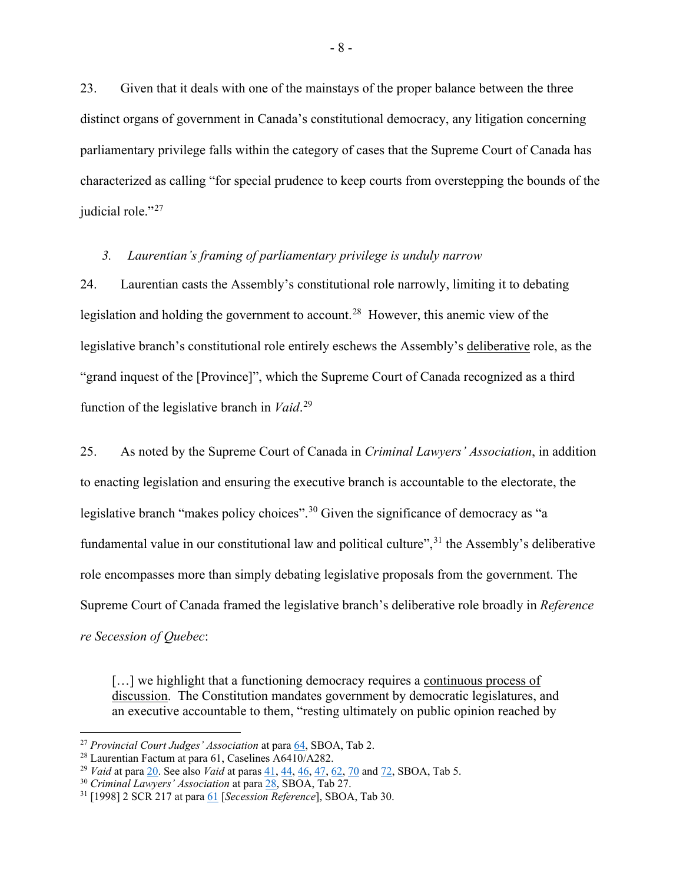23. Given that it deals with one of the mainstays of the proper balance between the three distinct organs of government in Canada's constitutional democracy, any litigation concerning parliamentary privilege falls within the category of cases that the Supreme Court of Canada has characterized as calling "for special prudence to keep courts from overstepping the bounds of the judicial role."<sup>[27](#page-11-1)</sup>

#### <span id="page-11-0"></span>*3. Laurentian's framing of parliamentary privilege is unduly narrow*

24. Laurentian casts the Assembly's constitutional role narrowly, limiting it to debating legislation and holding the government to account.<sup>[28](#page-11-2)</sup> However, this anemic view of the legislative branch's constitutional role entirely eschews the Assembly's deliberative role, as the "grand inquest of the [Province]", which the Supreme Court of Canada recognized as a third function of the legislative branch in *Vaid*. [29](#page-11-3)

25. As noted by the Supreme Court of Canada in *Criminal Lawyers' Association*, in addition to enacting legislation and ensuring the executive branch is accountable to the electorate, the legislative branch "makes policy choices".<sup>[30](#page-11-4)</sup> Given the significance of democracy as "a fundamental value in our constitutional law and political culture",<sup>[31](#page-11-5)</sup> the Assembly's deliberative role encompasses more than simply debating legislative proposals from the government. The Supreme Court of Canada framed the legislative branch's deliberative role broadly in *Reference re Secession of Quebec*:

[...] we highlight that a functioning democracy requires a continuous process of discussion. The Constitution mandates government by democratic legislatures, and an executive accountable to them, "resting ultimately on public opinion reached by

<span id="page-11-1"></span><sup>27</sup> *Provincial Court Judges' Association* at par[a 64,](https://canlii.ca/t/j8xd1#par64) SBOA, Tab 2.

<span id="page-11-2"></span><sup>28</sup> Laurentian Factum at para 61, Caselines A6410/A282.

<span id="page-11-3"></span><sup>29</sup> *Vaid* at para [20.](https://canlii.ca/t/1kt5k#par20) See also *Vaid* at paras [41,](https://canlii.ca/t/1kt5k#par41) [44,](https://canlii.ca/t/1kt5k#par44) [46,](https://canlii.ca/t/1kt5k#par46) [47,](https://canlii.ca/t/1kt5k#par47) [62,](https://canlii.ca/t/1kt5k#par62) [70](https://canlii.ca/t/1kt5k#par70) an[d 72,](https://canlii.ca/t/1kt5k#par72) SBOA, Tab 5.

<span id="page-11-4"></span><sup>30</sup> *Criminal Lawyers' Association* at para [28,](https://canlii.ca/t/fzw43#par28) SBOA, Tab 27.

<span id="page-11-5"></span><sup>31</sup> [1998] 2 SCR 217 at para [61](https://canlii.ca/t/1fqr3#par61) [*Secession Reference*], SBOA, Tab 30.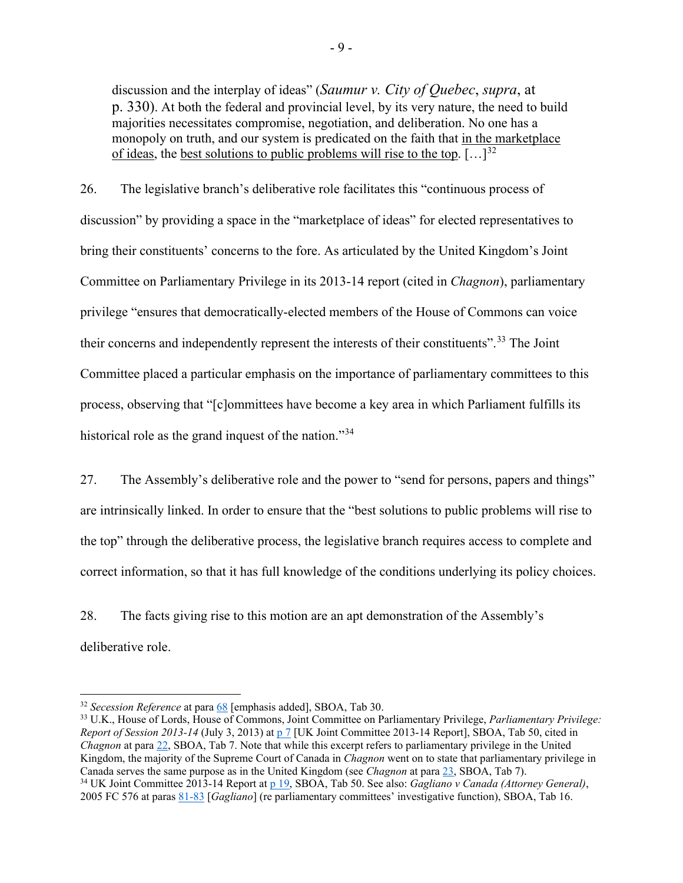discussion and the interplay of ideas" (*Saumur v. City of Quebec*, *supra*, at p. 330). At both the federal and provincial level, by its very nature, the need to build majorities necessitates compromise, negotiation, and deliberation. No one has a monopoly on truth, and our system is predicated on the faith that in the marketplace of ideas, the best solutions to public problems will rise to the top.  $[\dots]^{32}$  $[\dots]^{32}$  $[\dots]^{32}$ 

26. The legislative branch's deliberative role facilitates this "continuous process of discussion" by providing a space in the "marketplace of ideas" for elected representatives to bring their constituents' concerns to the fore. As articulated by the United Kingdom's Joint Committee on Parliamentary Privilege in its 2013-14 report (cited in *Chagnon*), parliamentary privilege "ensures that democratically-elected members of the House of Commons can voice their concerns and independently represent the interests of their constituents".<sup>[33](#page-12-1)</sup> The Joint Committee placed a particular emphasis on the importance of parliamentary committees to this process, observing that "[c]ommittees have become a key area in which Parliament fulfills its historical role as the grand inquest of the nation."<sup>[34](#page-12-2)</sup>

27. The Assembly's deliberative role and the power to "send for persons, papers and things" are intrinsically linked. In order to ensure that the "best solutions to public problems will rise to the top" through the deliberative process, the legislative branch requires access to complete and correct information, so that it has full knowledge of the conditions underlying its policy choices.

28. The facts giving rise to this motion are an apt demonstration of the Assembly's deliberative role.

<span id="page-12-2"></span><span id="page-12-1"></span><sup>33</sup> U.K., House of Lords, House of Commons, Joint Committee on Parliamentary Privilege, *Parliamentary Privilege: Report of Session 2013-14* (July 3, 2013) at  $p 7$  [UK Joint Committee 2013-14 Report], SBOA, Tab 50, cited in *Chagnon* at par[a 22,](https://canlii.ca/t/hvf8d#par22) SBOA, Tab 7. Note that while this excerpt refers to parliamentary privilege in the United Kingdom, the majority of the Supreme Court of Canada in *Chagnon* went on to state that parliamentary privilege in Canada serves the same purpose as in the United Kingdom (see *Chagnon* at para [23,](https://canlii.ca/t/hvf8d#par23) SBOA, Tab 7). <sup>34</sup> UK Joint Committee 2013-14 Report at [p 19,](https://publications.parliament.uk/pa/jt201314/jtselect/jtprivi/30/30.pdf) SBOA, Tab 50. See also: *Gagliano v Canada (Attorney General)*, 2005 FC 576 at paras [81-83](https://www.canlii.org/en/ca/fct/doc/2005/2005fc576/2005fc576.html#par81) [*Gagliano*] (re parliamentary committees' investigative function), SBOA, Tab 16.

<span id="page-12-0"></span><sup>32</sup> *Secession Reference* at para [68](https://canlii.ca/t/1fqr3#par68) [emphasis added], SBOA, Tab 30.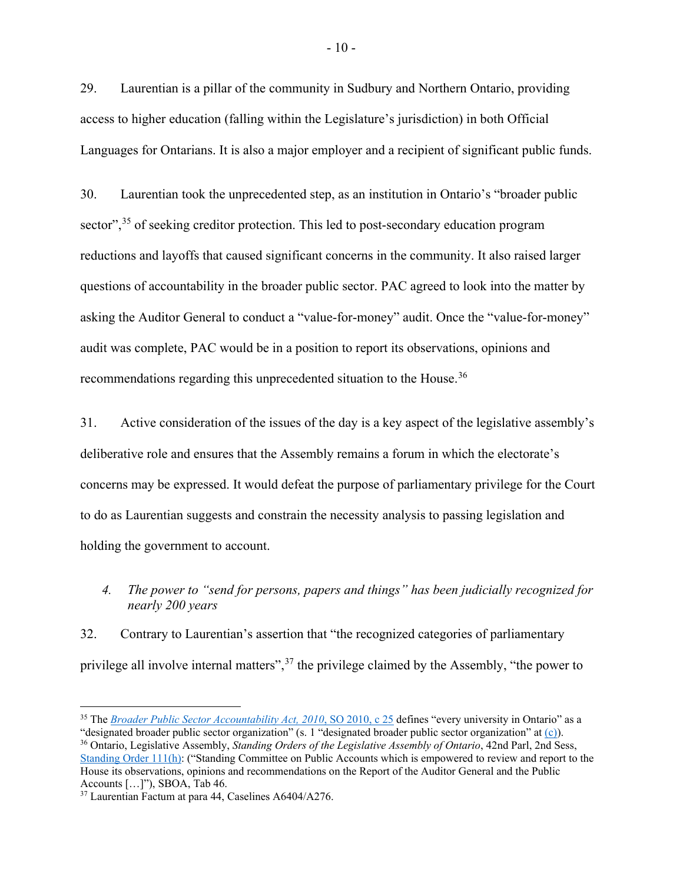29. Laurentian is a pillar of the community in Sudbury and Northern Ontario, providing access to higher education (falling within the Legislature's jurisdiction) in both Official Languages for Ontarians. It is also a major employer and a recipient of significant public funds.

30. Laurentian took the unprecedented step, as an institution in Ontario's "broader public sector",<sup>[35](#page-13-1)</sup> of seeking creditor protection. This led to post-secondary education program reductions and layoffs that caused significant concerns in the community. It also raised larger questions of accountability in the broader public sector. PAC agreed to look into the matter by asking the Auditor General to conduct a "value-for-money" audit. Once the "value-for-money" audit was complete, PAC would be in a position to report its observations, opinions and recommendations regarding this unprecedented situation to the House.<sup>[36](#page-13-2)</sup>

31. Active consideration of the issues of the day is a key aspect of the legislative assembly's deliberative role and ensures that the Assembly remains a forum in which the electorate's concerns may be expressed. It would defeat the purpose of parliamentary privilege for the Court to do as Laurentian suggests and constrain the necessity analysis to passing legislation and holding the government to account.

<span id="page-13-0"></span>*4. The power to "send for persons, papers and things" has been judicially recognized for nearly 200 years*

32. Contrary to Laurentian's assertion that "the recognized categories of parliamentary privilege all involve internal matters",  $37$  the privilege claimed by the Assembly, "the power to

<span id="page-13-1"></span><sup>&</sup>lt;sup>35</sup> The *[Broader Public Sector Accountability Act, 2010](https://www.ontario.ca/laws/statute/10b25)*, SO 2010, c 25 defines "every university in Ontario" as a "designated broader public sector organization" (s. 1 "designated broader public sector organization" a[t \(c\)\)](https://www.ontario.ca/laws/statute/10b25#BK1).

<span id="page-13-2"></span><sup>36</sup> Ontario, Legislative Assembly, *Standing Orders of the Legislative Assembly of Ontario*, 42nd Parl, 2nd Sess, [Standing Order 111\(h\):](https://www.ola.org/en/legislative-business/standing-orders) ("Standing Committee on Public Accounts which is empowered to review and report to the House its observations, opinions and recommendations on the Report of the Auditor General and the Public Accounts […]"), SBOA, Tab 46.

<span id="page-13-3"></span><sup>37</sup> Laurentian Factum at para 44, Caselines A6404/A276.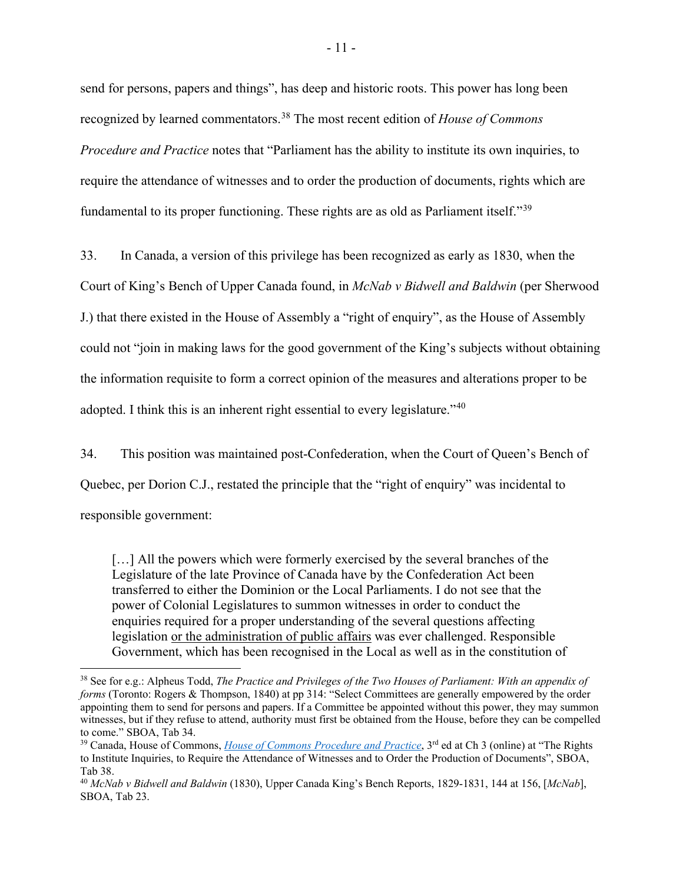send for persons, papers and things", has deep and historic roots. This power has long been recognized by learned commentators.[38](#page-14-0) The most recent edition of *House of Commons Procedure and Practice* notes that "Parliament has the ability to institute its own inquiries, to require the attendance of witnesses and to order the production of documents, rights which are fundamental to its proper functioning. These rights are as old as Parliament itself."[39](#page-14-1)

33. In Canada, a version of this privilege has been recognized as early as 1830, when the

Court of King's Bench of Upper Canada found, in *McNab v Bidwell and Baldwin* (per Sherwood J.) that there existed in the House of Assembly a "right of enquiry", as the House of Assembly could not "join in making laws for the good government of the King's subjects without obtaining the information requisite to form a correct opinion of the measures and alterations proper to be adopted. I think this is an inherent right essential to every legislature."[40](#page-14-2)

34. This position was maintained post-Confederation, when the Court of Queen's Bench of Quebec, per Dorion C.J., restated the principle that the "right of enquiry" was incidental to responsible government:

[...] All the powers which were formerly exercised by the several branches of the Legislature of the late Province of Canada have by the Confederation Act been transferred to either the Dominion or the Local Parliaments. I do not see that the power of Colonial Legislatures to summon witnesses in order to conduct the enquiries required for a proper understanding of the several questions affecting legislation or the administration of public affairs was ever challenged. Responsible Government, which has been recognised in the Local as well as in the constitution of

<span id="page-14-0"></span><sup>38</sup> See for e.g.: Alpheus Todd, *The Practice and Privileges of the Two Houses of Parliament: With an appendix of forms* (Toronto: Rogers & Thompson, 1840) at pp 314: "Select Committees are generally empowered by the order appointing them to send for persons and papers. If a Committee be appointed without this power, they may summon witnesses, but if they refuse to attend, authority must first be obtained from the House, before they can be compelled to come." SBOA, Tab 34.

<span id="page-14-1"></span><sup>&</sup>lt;sup>39</sup> Canada, House of Commons, *[House of Commons Procedure and Practice](https://www.ourcommons.ca/about/procedureandpractice3rdedition/ch_03_7-e.html)*, 3<sup>rd</sup> ed at Ch 3 (online) at "The Rights to Institute Inquiries, to Require the Attendance of Witnesses and to Order the Production of Documents", SBOA, Tab 38.

<span id="page-14-2"></span><sup>40</sup> *McNab v Bidwell and Baldwin* (1830), Upper Canada King's Bench Reports, 1829-1831, 144 at 156, [*McNab*], SBOA, Tab 23.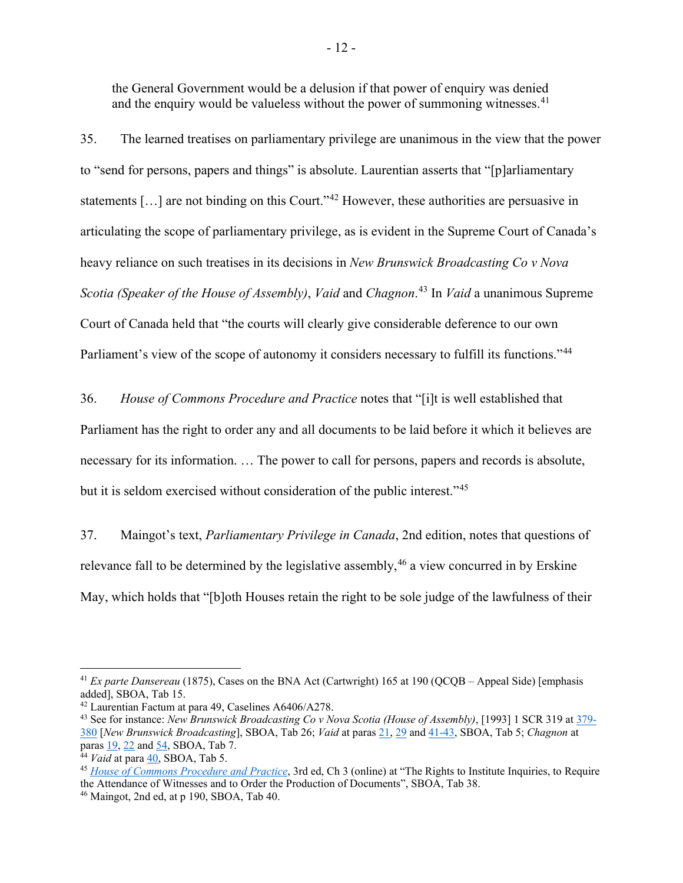the General Government would be a delusion if that power of enquiry was denied and the enquiry would be valueless without the power of summoning witnesses.  $41$ 

35. The learned treatises on parliamentary privilege are unanimous in the view that the power to "send for persons, papers and things" is absolute. Laurentian asserts that "[p]arliamentary statements [...] are not binding on this Court."<sup>[42](#page-15-1)</sup> However, these authorities are persuasive in articulating the scope of parliamentary privilege, as is evident in the Supreme Court of Canada's heavy reliance on such treatises in its decisions in *New Brunswick Broadcasting Co v Nova Scotia (Speaker of the House of Assembly)*, *Vaid* and *Chagnon*. [43](#page-15-2) In *Vaid* a unanimous Supreme Court of Canada held that "the courts will clearly give considerable deference to our own Parliament's view of the scope of autonomy it considers necessary to fulfill its functions."<sup>[44](#page-15-3)</sup>

36. *House of Commons Procedure and Practice* notes that "[i]t is well established that Parliament has the right to order any and all documents to be laid before it which it believes are necessary for its information. … The power to call for persons, papers and records is absolute, but it is seldom exercised without consideration of the public interest."<sup>[45](#page-15-4)</sup>

37. Maingot's text, *Parliamentary Privilege in Canada*, 2nd edition, notes that questions of relevance fall to be determined by the legislative assembly,  $46$  a view concurred in by Erskine May, which holds that "[b]oth Houses retain the right to be sole judge of the lawfulness of their

<span id="page-15-0"></span><sup>&</sup>lt;sup>41</sup> *Ex parte Dansereau* (1875), Cases on the BNA Act (Cartwright) 165 at 190 (QCQB – Appeal Side) [emphasis added], SBOA, Tab 15.

<span id="page-15-1"></span><sup>42</sup> Laurentian Factum at para 49, Caselines A6406/A278.

<span id="page-15-2"></span><sup>43</sup> See for instance: *New Brunswick Broadcasting Co v Nova Scotia (House of Assembly)*, [1993] 1 SCR 319 at [379-](https://www.canlii.org/en/ca/scc/doc/1993/1993canlii153/1993canlii153.pdf) [380](https://www.canlii.org/en/ca/scc/doc/1993/1993canlii153/1993canlii153.pdf) [*New Brunswick Broadcasting*], SBOA, Tab 26; *Vaid* at para[s 21,](https://www.canlii.org/en/ca/scc/doc/2005/2005scc30/2005scc30.html#par21) [29](https://www.canlii.org/en/ca/scc/doc/2005/2005scc30/2005scc30.html#par29) and [41-43,](https://www.canlii.org/en/ca/scc/doc/2005/2005scc30/2005scc30.html#par41) SBOA, Tab 5; *Chagnon* at para[s 19,](https://www.canlii.org/en/ca/scc/doc/2018/2018scc39/2018scc39.html?resultIndex=1#par19) [22](https://www.canlii.org/en/ca/scc/doc/2018/2018scc39/2018scc39.html?resultIndex=1#par22) and [54,](https://www.canlii.org/en/ca/scc/doc/2018/2018scc39/2018scc39.html?resultIndex=1#par54) SBOA, Tab 7.

<span id="page-15-3"></span><sup>44</sup> *Vaid* at para [40,](https://www.canlii.org/en/ca/scc/doc/2005/2005scc30/2005scc30.html#par40) SBOA, Tab 5.

<span id="page-15-4"></span><sup>45</sup> *[House of Commons Procedure and Practice](https://www.ourcommons.ca/about/procedureandpractice3rdedition/ch_03_7-e.html)*, 3rd ed, Ch 3 (online) at "The Rights to Institute Inquiries, to Require the Attendance of Witnesses and to Order the Production of Documents", SBOA, Tab 38.

<span id="page-15-5"></span><sup>46</sup> Maingot, 2nd ed, at p 190, SBOA, Tab 40.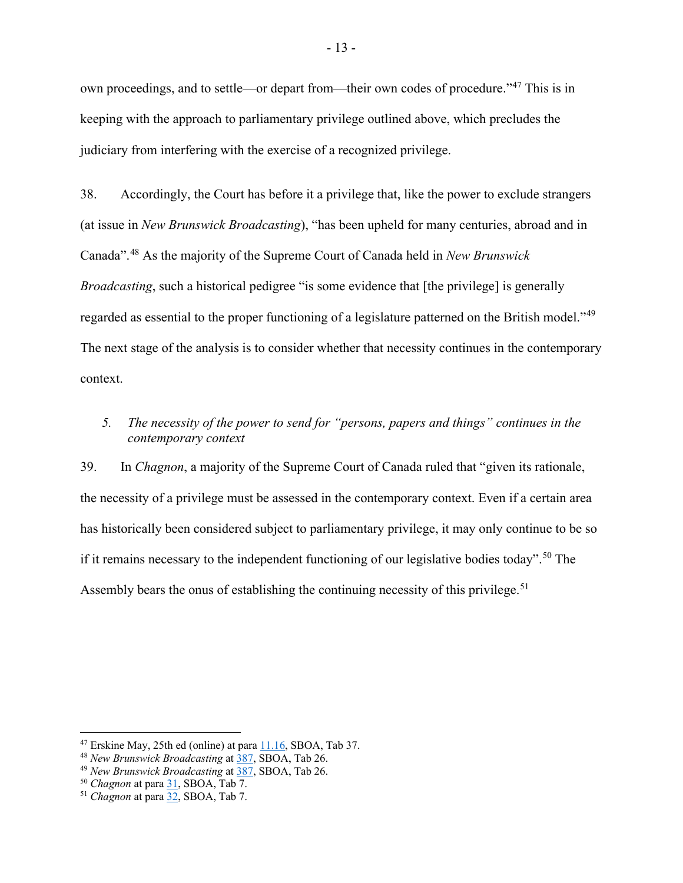own proceedings, and to settle—or depart from—their own codes of procedure."[47](#page-16-1) This is in keeping with the approach to parliamentary privilege outlined above, which precludes the judiciary from interfering with the exercise of a recognized privilege.

38. Accordingly, the Court has before it a privilege that, like the power to exclude strangers (at issue in *New Brunswick Broadcasting*), "has been upheld for many centuries, abroad and in Canada".[48](#page-16-2) As the majority of the Supreme Court of Canada held in *New Brunswick Broadcasting*, such a historical pedigree "is some evidence that [the privilege] is generally regarded as essential to the proper functioning of a legislature patterned on the British model."<sup>[49](#page-16-3)</sup> The next stage of the analysis is to consider whether that necessity continues in the contemporary context.

## <span id="page-16-0"></span>*5. The necessity of the power to send for "persons, papers and things" continues in the contemporary context*

39. In *Chagnon*, a majority of the Supreme Court of Canada ruled that "given its rationale, the necessity of a privilege must be assessed in the contemporary context. Even if a certain area has historically been considered subject to parliamentary privilege, it may only continue to be so if it remains necessary to the independent functioning of our legislative bodies today".<sup>[50](#page-16-4)</sup> The Assembly bears the onus of establishing the continuing necessity of this privilege.<sup>[51](#page-16-5)</sup>

<span id="page-16-1"></span> $47$  Erskine May, 25th ed (online) at para  $11.16$ , SBOA, Tab 37.

<span id="page-16-2"></span><sup>48</sup> *New Brunswick Broadcasting* at [387,](https://www.canlii.org/en/ca/scc/doc/1993/1993canlii153/1993canlii153.pdf) SBOA, Tab 26.

<span id="page-16-3"></span><sup>49</sup> *New Brunswick Broadcasting* at [387,](https://www.canlii.org/en/ca/scc/doc/1993/1993canlii153/1993canlii153.pdf) SBOA, Tab 26.

<span id="page-16-4"></span><sup>50</sup> *Chagnon* at par[a 31,](https://www.canlii.org/en/ca/scc/doc/2018/2018scc39/2018scc39.html?resultIndex=1#par31) SBOA, Tab 7.

<span id="page-16-5"></span><sup>51</sup> *Chagnon* at par[a 32,](https://www.canlii.org/en/ca/scc/doc/2018/2018scc39/2018scc39.html?resultIndex=1#par32) SBOA, Tab 7.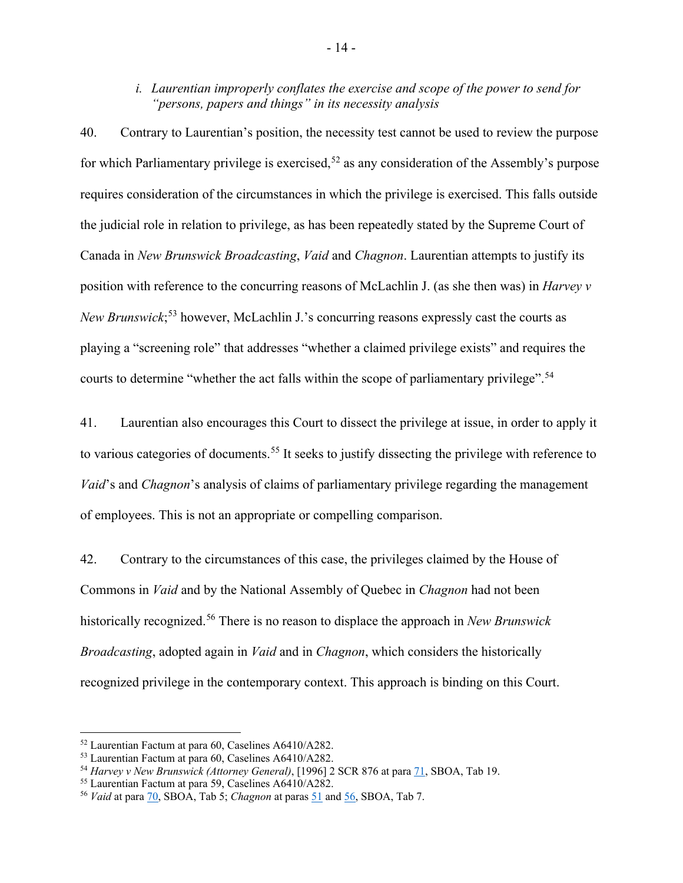## *i. Laurentian improperly conflates the exercise and scope of the power to send for "persons, papers and things" in its necessity analysis*

40. Contrary to Laurentian's position, the necessity test cannot be used to review the purpose for which Parliamentary privilege is exercised,  $52$  as any consideration of the Assembly's purpose requires consideration of the circumstances in which the privilege is exercised. This falls outside the judicial role in relation to privilege, as has been repeatedly stated by the Supreme Court of Canada in *New Brunswick Broadcasting*, *Vaid* and *Chagnon*. Laurentian attempts to justify its position with reference to the concurring reasons of McLachlin J. (as she then was) in *Harvey v New Brunswick*; [53](#page-17-1) however, McLachlin J.'s concurring reasons expressly cast the courts as playing a "screening role" that addresses "whether a claimed privilege exists" and requires the courts to determine "whether the act falls within the scope of parliamentary privilege".<sup>[54](#page-17-2)</sup>

41. Laurentian also encourages this Court to dissect the privilege at issue, in order to apply it to various categories of documents.<sup>[55](#page-17-3)</sup> It seeks to justify dissecting the privilege with reference to *Vaid*'s and *Chagnon*'s analysis of claims of parliamentary privilege regarding the management of employees. This is not an appropriate or compelling comparison.

42. Contrary to the circumstances of this case, the privileges claimed by the House of Commons in *Vaid* and by the National Assembly of Quebec in *Chagnon* had not been historically recognized.[56](#page-17-4) There is no reason to displace the approach in *New Brunswick Broadcasting*, adopted again in *Vaid* and in *Chagnon*, which considers the historically recognized privilege in the contemporary context. This approach is binding on this Court.

<span id="page-17-0"></span><sup>52</sup> Laurentian Factum at para 60, Caselines A6410/A282.

<span id="page-17-1"></span><sup>53</sup> Laurentian Factum at para 60, Caselines A6410/A282.

<span id="page-17-2"></span><sup>54</sup> *Harvey v New Brunswick (Attorney General)*, [1996] 2 SCR 876 at para [71,](https://www.canlii.org/en/ca/scc/doc/1996/1996canlii163/1996canlii163.html?resultIndex=1#par71) SBOA, Tab 19.

<span id="page-17-3"></span><sup>55</sup> Laurentian Factum at para 59, Caselines A6410/A282.

<span id="page-17-4"></span><sup>56</sup> *Vaid* at para [70,](https://www.canlii.org/en/ca/scc/doc/2005/2005scc30/2005scc30.html#par70) SBOA, Tab 5; *Chagnon* at paras [51](https://www.canlii.org/en/ca/scc/doc/2018/2018scc39/2018scc39.html?resultIndex=1#par51) an[d 56,](https://www.canlii.org/en/ca/scc/doc/2018/2018scc39/2018scc39.html?resultIndex=1#par56) SBOA, Tab 7.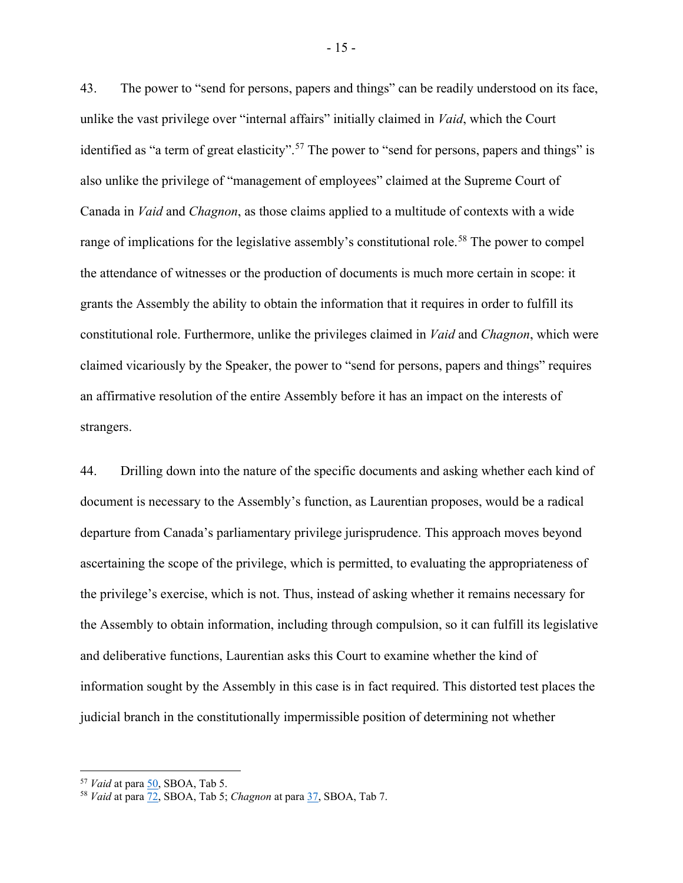43. The power to "send for persons, papers and things" can be readily understood on its face, unlike the vast privilege over "internal affairs" initially claimed in *Vaid*, which the Court identified as "a term of great elasticity".<sup>[57](#page-18-0)</sup> The power to "send for persons, papers and things" is also unlike the privilege of "management of employees" claimed at the Supreme Court of Canada in *Vaid* and *Chagnon*, as those claims applied to a multitude of contexts with a wide range of implications for the legislative assembly's constitutional role.<sup>[58](#page-18-1)</sup> The power to compel the attendance of witnesses or the production of documents is much more certain in scope: it grants the Assembly the ability to obtain the information that it requires in order to fulfill its constitutional role. Furthermore, unlike the privileges claimed in *Vaid* and *Chagnon*, which were claimed vicariously by the Speaker, the power to "send for persons, papers and things" requires an affirmative resolution of the entire Assembly before it has an impact on the interests of strangers.

44. Drilling down into the nature of the specific documents and asking whether each kind of document is necessary to the Assembly's function, as Laurentian proposes, would be a radical departure from Canada's parliamentary privilege jurisprudence. This approach moves beyond ascertaining the scope of the privilege, which is permitted, to evaluating the appropriateness of the privilege's exercise, which is not. Thus, instead of asking whether it remains necessary for the Assembly to obtain information, including through compulsion, so it can fulfill its legislative and deliberative functions, Laurentian asks this Court to examine whether the kind of information sought by the Assembly in this case is in fact required. This distorted test places the judicial branch in the constitutionally impermissible position of determining not whether

<span id="page-18-0"></span><sup>57</sup> *Vaid* at para [50,](https://www.canlii.org/en/ca/scc/doc/2005/2005scc30/2005scc30.html#par50) SBOA, Tab 5.

<span id="page-18-1"></span><sup>58</sup> *Vaid* at para [72,](https://www.canlii.org/en/ca/scc/doc/2005/2005scc30/2005scc30.html#par72) SBOA, Tab 5; *Chagnon* at para [37,](https://www.canlii.org/en/ca/scc/doc/2018/2018scc39/2018scc39.html?resultIndex=1#par37) SBOA, Tab 7.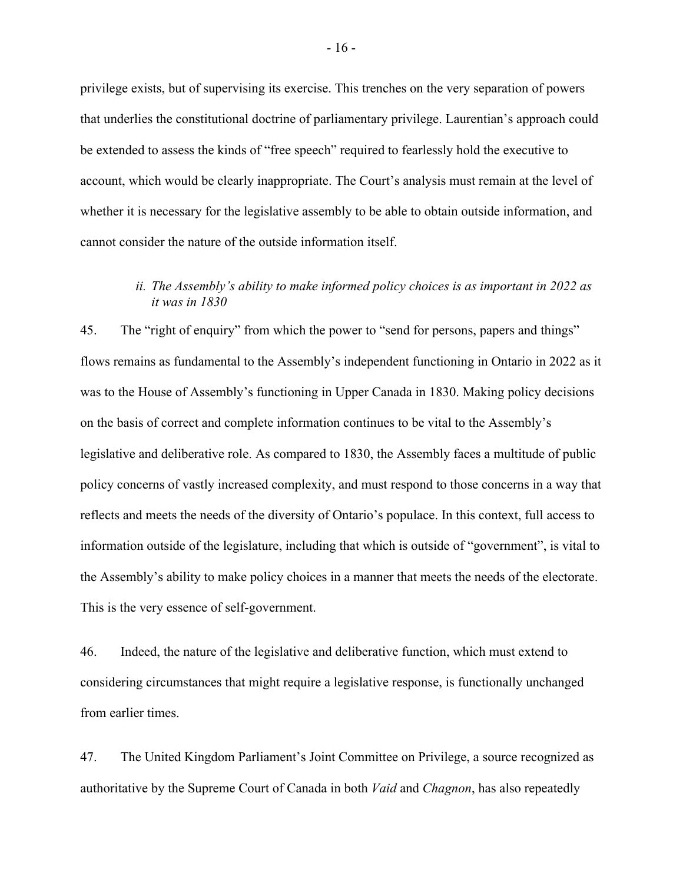privilege exists, but of supervising its exercise. This trenches on the very separation of powers that underlies the constitutional doctrine of parliamentary privilege. Laurentian's approach could be extended to assess the kinds of "free speech" required to fearlessly hold the executive to account, which would be clearly inappropriate. The Court's analysis must remain at the level of whether it is necessary for the legislative assembly to be able to obtain outside information, and cannot consider the nature of the outside information itself.

## *ii. The Assembly's ability to make informed policy choices is as important in 2022 as it was in 1830*

45. The "right of enquiry" from which the power to "send for persons, papers and things" flows remains as fundamental to the Assembly's independent functioning in Ontario in 2022 as it was to the House of Assembly's functioning in Upper Canada in 1830. Making policy decisions on the basis of correct and complete information continues to be vital to the Assembly's legislative and deliberative role. As compared to 1830, the Assembly faces a multitude of public policy concerns of vastly increased complexity, and must respond to those concerns in a way that reflects and meets the needs of the diversity of Ontario's populace. In this context, full access to information outside of the legislature, including that which is outside of "government", is vital to the Assembly's ability to make policy choices in a manner that meets the needs of the electorate. This is the very essence of self-government.

46. Indeed, the nature of the legislative and deliberative function, which must extend to considering circumstances that might require a legislative response, is functionally unchanged from earlier times.

47. The United Kingdom Parliament's Joint Committee on Privilege, a source recognized as authoritative by the Supreme Court of Canada in both *Vaid* and *Chagnon*, has also repeatedly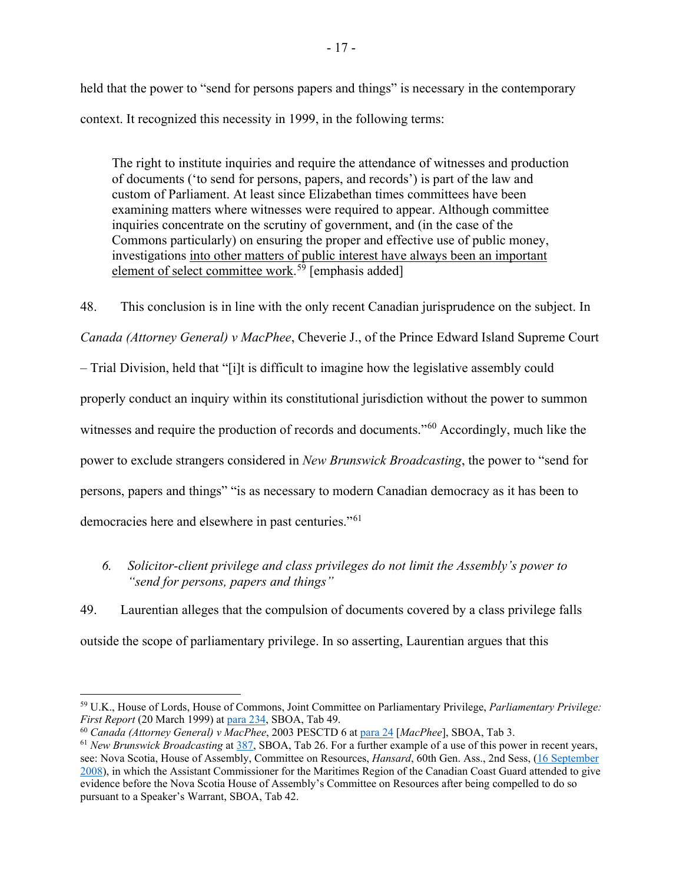held that the power to "send for persons papers and things" is necessary in the contemporary context. It recognized this necessity in 1999, in the following terms:

The right to institute inquiries and require the attendance of witnesses and production of documents ('to send for persons, papers, and records') is part of the law and custom of Parliament. At least since Elizabethan times committees have been examining matters where witnesses were required to appear. Although committee inquiries concentrate on the scrutiny of government, and (in the case of the Commons particularly) on ensuring the proper and effective use of public money, investigations into other matters of public interest have always been an important element of select committee work.<sup>[59](#page-20-1)</sup> [emphasis added]

48. This conclusion is in line with the only recent Canadian jurisprudence on the subject. In

*Canada (Attorney General) v MacPhee*, Cheverie J., of the Prince Edward Island Supreme Court

– Trial Division, held that "[i]t is difficult to imagine how the legislative assembly could

properly conduct an inquiry within its constitutional jurisdiction without the power to summon

witnesses and require the production of records and documents."<sup>[60](#page-20-2)</sup> Accordingly, much like the

power to exclude strangers considered in *New Brunswick Broadcasting*, the power to "send for

persons, papers and things" "is as necessary to modern Canadian democracy as it has been to

democracies here and elsewhere in past centuries."[61](#page-20-3)

## <span id="page-20-0"></span>*6. Solicitor-client privilege and class privileges do not limit the Assembly's power to "send for persons, papers and things"*

49. Laurentian alleges that the compulsion of documents covered by a class privilege falls outside the scope of parliamentary privilege. In so asserting, Laurentian argues that this

<span id="page-20-1"></span><sup>59</sup> U.K., House of Lords, House of Commons, Joint Committee on Parliamentary Privilege, *Parliamentary Privilege: First Report* (20 March 1999) at [para 234,](https://publications.parliament.uk/pa/jt199899/jtselect/jtpriv/43/4309.htm) SBOA, Tab 49.

<span id="page-20-2"></span><sup>60</sup> *Canada (Attorney General) v MacPhee*, 2003 PESCTD 6 at [para 24](https://www.canlii.org/en/pe/pesctd/doc/2003/2003pesctd6/2003pesctd6.html?resultIndex=1) [*MacPhee*], SBOA, Tab 3.

<span id="page-20-3"></span><sup>61</sup> *New Brunswick Broadcasting* at [387,](https://www.canlii.org/en/ca/scc/doc/1993/1993canlii153/1993canlii153.pdf) SBOA, Tab 26. For a further example of a use of this power in recent years, see: Nova Scotia, House of Assembly, Committee on Resources, *Hansard*, 60th Gen. Ass., 2nd Sess, [\(16 September](https://nslegislature.ca/legislative-business/committees/standing/resources/archive/resources/re_2008sep16.htm)  [2008\)](https://nslegislature.ca/legislative-business/committees/standing/resources/archive/resources/re_2008sep16.htm), in which the Assistant Commissioner for the Maritimes Region of the Canadian Coast Guard attended to give evidence before the Nova Scotia House of Assembly's Committee on Resources after being compelled to do so pursuant to a Speaker's Warrant, SBOA, Tab 42.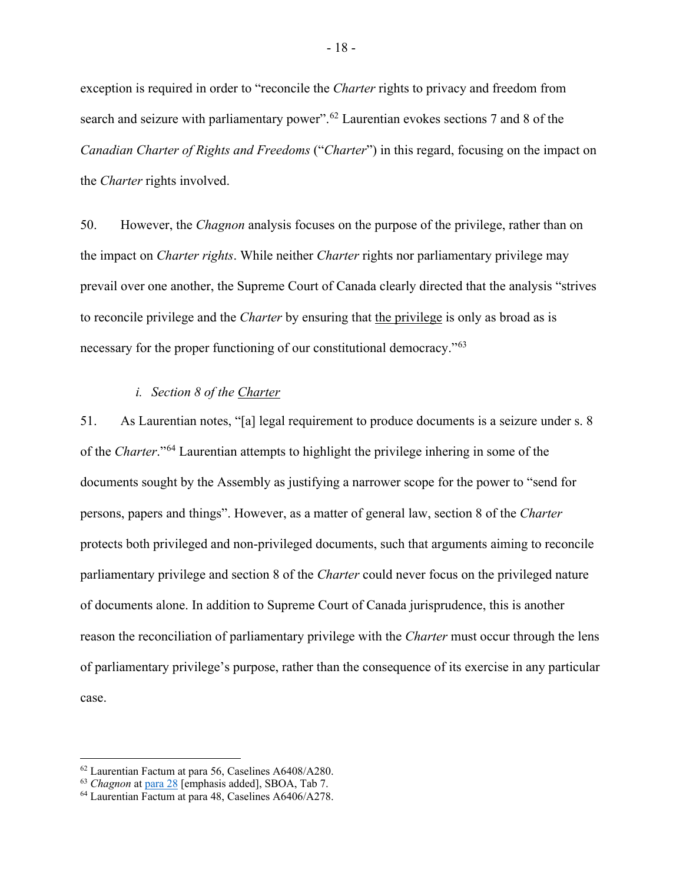exception is required in order to "reconcile the *Charter* rights to privacy and freedom from search and seizure with parliamentary power".<sup>[62](#page-21-0)</sup> Laurentian evokes sections 7 and 8 of the *Canadian Charter of Rights and Freedoms* ("*Charter*") in this regard, focusing on the impact on the *Charter* rights involved.

50. However, the *Chagnon* analysis focuses on the purpose of the privilege, rather than on the impact on *Charter rights*. While neither *Charter* rights nor parliamentary privilege may prevail over one another, the Supreme Court of Canada clearly directed that the analysis "strives to reconcile privilege and the *Charter* by ensuring that the privilege is only as broad as is necessary for the proper functioning of our constitutional democracy."[63](#page-21-1)

#### *i. Section 8 of the Charter*

51. As Laurentian notes, "[a] legal requirement to produce documents is a seizure under s. 8 of the *Charter*."[64](#page-21-2) Laurentian attempts to highlight the privilege inhering in some of the documents sought by the Assembly as justifying a narrower scope for the power to "send for persons, papers and things". However, as a matter of general law, section 8 of the *Charter* protects both privileged and non-privileged documents, such that arguments aiming to reconcile parliamentary privilege and section 8 of the *Charter* could never focus on the privileged nature of documents alone. In addition to Supreme Court of Canada jurisprudence, this is another reason the reconciliation of parliamentary privilege with the *Charter* must occur through the lens of parliamentary privilege's purpose, rather than the consequence of its exercise in any particular case.

<span id="page-21-0"></span><sup>62</sup> Laurentian Factum at para 56, Caselines A6408/A280.

<span id="page-21-1"></span><sup>63</sup> *Chagnon* at [para 28](https://www.canlii.org/en/ca/scc/doc/2018/2018scc39/2018scc39.html?resultIndex=1#par28) [emphasis added], SBOA, Tab 7.

<span id="page-21-2"></span><sup>64</sup> Laurentian Factum at para 48, Caselines A6406/A278.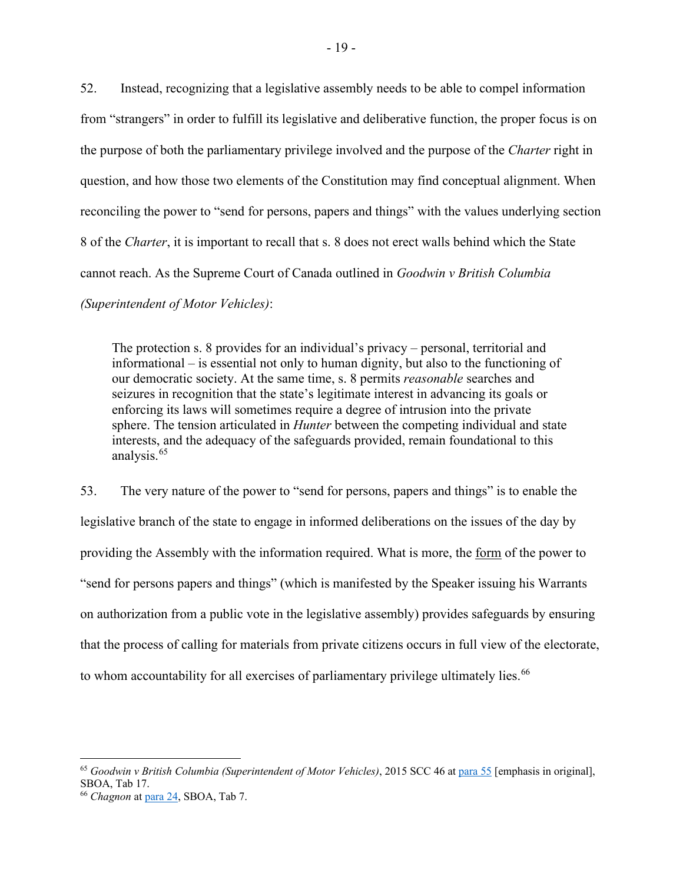52. Instead, recognizing that a legislative assembly needs to be able to compel information from "strangers" in order to fulfill its legislative and deliberative function, the proper focus is on the purpose of both the parliamentary privilege involved and the purpose of the *Charter* right in question, and how those two elements of the Constitution may find conceptual alignment. When reconciling the power to "send for persons, papers and things" with the values underlying section 8 of the *Charter*, it is important to recall that s. 8 does not erect walls behind which the State cannot reach. As the Supreme Court of Canada outlined in *Goodwin v British Columbia* 

*(Superintendent of Motor Vehicles)*:

The protection s. 8 provides for an individual's privacy – personal, territorial and informational – is essential not only to human dignity, but also to the functioning of our democratic society. At the same time, s. 8 permits *reasonable* searches and seizures in recognition that the state's legitimate interest in advancing its goals or enforcing its laws will sometimes require a degree of intrusion into the private sphere. The tension articulated in *Hunter* between the competing individual and state interests, and the adequacy of the safeguards provided, remain foundational to this analysis.[65](#page-22-0)

53. The very nature of the power to "send for persons, papers and things" is to enable the legislative branch of the state to engage in informed deliberations on the issues of the day by providing the Assembly with the information required. What is more, the form of the power to "send for persons papers and things" (which is manifested by the Speaker issuing his Warrants on authorization from a public vote in the legislative assembly) provides safeguards by ensuring that the process of calling for materials from private citizens occurs in full view of the electorate, to whom accountability for all exercises of parliamentary privilege ultimately lies.<sup>[66](#page-22-1)</sup>

<span id="page-22-0"></span><sup>65</sup> *Goodwin v British Columbia (Superintendent of Motor Vehicles)*, 2015 SCC 46 at [para 55](https://www.canlii.org/en/ca/scc/doc/2015/2015scc46/2015scc46.html?resultIndex=1#par55) [emphasis in original], SBOA, Tab 17.

<span id="page-22-1"></span><sup>66</sup> *Chagnon* at [para 24,](https://www.canlii.org/en/ca/scc/doc/2018/2018scc39/2018scc39.html?resultIndex=1#par24) SBOA, Tab 7.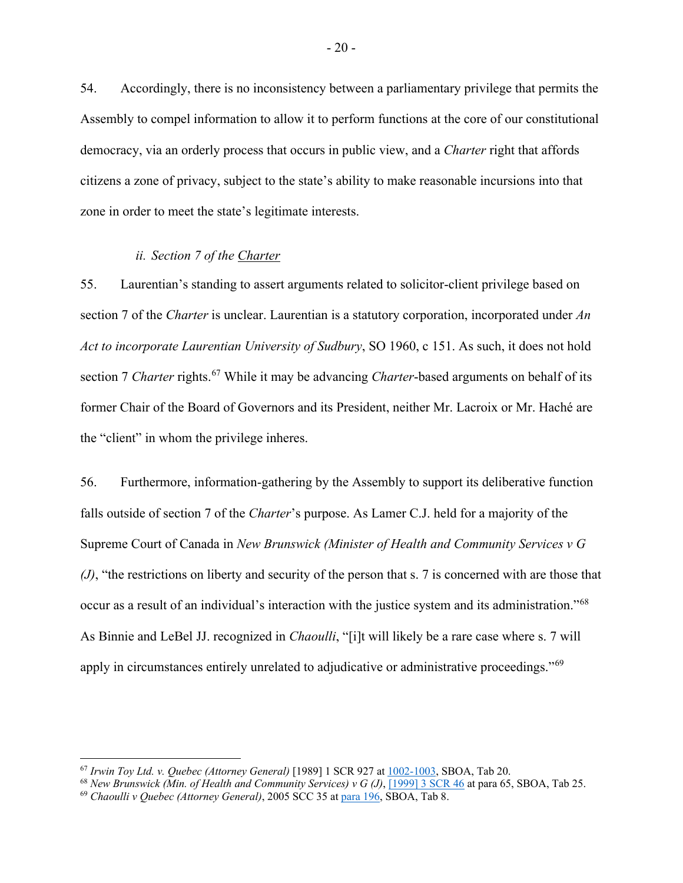54. Accordingly, there is no inconsistency between a parliamentary privilege that permits the Assembly to compel information to allow it to perform functions at the core of our constitutional democracy, via an orderly process that occurs in public view, and a *Charter* right that affords citizens a zone of privacy, subject to the state's ability to make reasonable incursions into that zone in order to meet the state's legitimate interests.

#### *ii. Section 7 of the Charter*

55. Laurentian's standing to assert arguments related to solicitor-client privilege based on section 7 of the *Charter* is unclear. Laurentian is a statutory corporation, incorporated under *An Act to incorporate Laurentian University of Sudbury*, SO 1960, c 151. As such, it does not hold section 7 *Charter* rights.<sup>[67](#page-23-0)</sup> While it may be advancing *Charter*-based arguments on behalf of its former Chair of the Board of Governors and its President, neither Mr. Lacroix or Mr. Haché are the "client" in whom the privilege inheres.

56. Furthermore, information-gathering by the Assembly to support its deliberative function falls outside of section 7 of the *Charter*'s purpose. As Lamer C.J. held for a majority of the Supreme Court of Canada in *New Brunswick (Minister of Health and Community Services v G (J)*, "the restrictions on liberty and security of the person that s. 7 is concerned with are those that occur as a result of an individual's interaction with the justice system and its administration."[68](#page-23-1) As Binnie and LeBel JJ. recognized in *Chaoulli*, "[i]t will likely be a rare case where s. 7 will apply in circumstances entirely unrelated to adjudicative or administrative proceedings."[69](#page-23-2)

<span id="page-23-0"></span><sup>67</sup> *Irwin Toy Ltd. v. Quebec (Attorney General)* [1989] 1 SCR 927 a[t 1002-1003,](https://www.canlii.org/en/ca/scc/doc/1989/1989canlii87/1989canlii87.pdf) SBOA, Tab 20.

<span id="page-23-1"></span><sup>68</sup> *New Brunswick (Min. of Health and Community Services) v G (J)*, [\[1999\] 3 SCR 46](https://www.canlii.org/en/ca/scc/doc/1999/1999canlii653/1999canlii653.pdf) at para 65, SBOA, Tab 25.

<span id="page-23-2"></span><sup>69</sup> *Chaoulli v Quebec (Attorney General)*, 2005 SCC 35 at [para 196,](https://www.canlii.org/en/ca/scc/doc/2005/2005scc35/2005scc35.html?resultIndex=1) SBOA, Tab 8.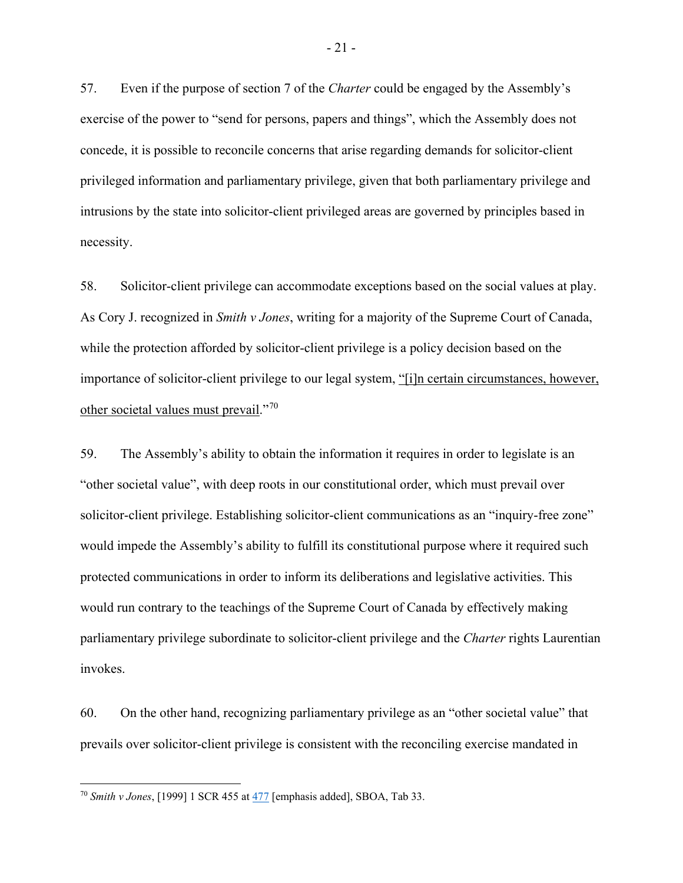57. Even if the purpose of section 7 of the *Charter* could be engaged by the Assembly's exercise of the power to "send for persons, papers and things", which the Assembly does not concede, it is possible to reconcile concerns that arise regarding demands for solicitor-client privileged information and parliamentary privilege, given that both parliamentary privilege and intrusions by the state into solicitor-client privileged areas are governed by principles based in necessity.

58. Solicitor-client privilege can accommodate exceptions based on the social values at play. As Cory J. recognized in *Smith v Jones*, writing for a majority of the Supreme Court of Canada, while the protection afforded by solicitor-client privilege is a policy decision based on the importance of solicitor-client privilege to our legal system, "[i]n certain circumstances, however, other societal values must prevail."[70](#page-24-0)

59. The Assembly's ability to obtain the information it requires in order to legislate is an "other societal value", with deep roots in our constitutional order, which must prevail over solicitor-client privilege. Establishing solicitor-client communications as an "inquiry-free zone" would impede the Assembly's ability to fulfill its constitutional purpose where it required such protected communications in order to inform its deliberations and legislative activities. This would run contrary to the teachings of the Supreme Court of Canada by effectively making parliamentary privilege subordinate to solicitor-client privilege and the *Charter* rights Laurentian invokes.

60. On the other hand, recognizing parliamentary privilege as an "other societal value" that prevails over solicitor-client privilege is consistent with the reconciling exercise mandated in

<span id="page-24-0"></span><sup>70</sup> *Smith v Jones*, [1999] 1 SCR 455 at [477](https://www.canlii.org/en/ca/scc/doc/1999/1999canlii674/1999canlii674.pdf) [emphasis added], SBOA, Tab 33.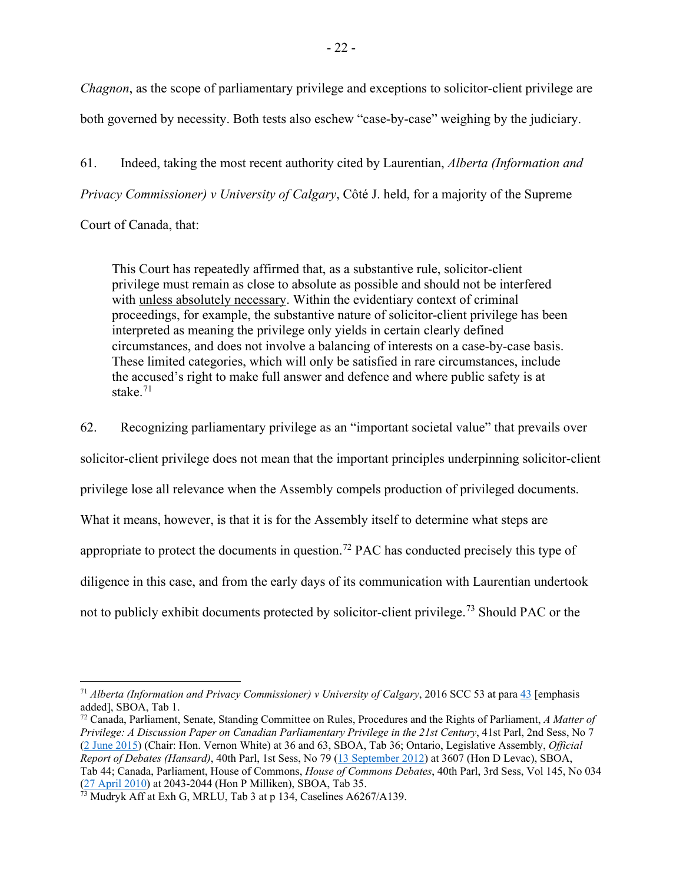*Chagnon*, as the scope of parliamentary privilege and exceptions to solicitor-client privilege are both governed by necessity. Both tests also eschew "case-by-case" weighing by the judiciary.

61. Indeed, taking the most recent authority cited by Laurentian, *Alberta (Information and Privacy Commissioner) v University of Calgary*, Côté J. held, for a majority of the Supreme

Court of Canada, that:

This Court has repeatedly affirmed that, as a substantive rule, solicitor-client privilege must remain as close to absolute as possible and should not be interfered with unless absolutely necessary. Within the evidentiary context of criminal proceedings, for example, the substantive nature of solicitor-client privilege has been interpreted as meaning the privilege only yields in certain clearly defined circumstances, and does not involve a balancing of interests on a case-by-case basis. These limited categories, which will only be satisfied in rare circumstances, include the accused's right to make full answer and defence and where public safety is at stake. $71$ 

62. Recognizing parliamentary privilege as an "important societal value" that prevails over solicitor-client privilege does not mean that the important principles underpinning solicitor-client privilege lose all relevance when the Assembly compels production of privileged documents. What it means, however, is that it is for the Assembly itself to determine what steps are appropriate to protect the documents in question.<sup>[72](#page-25-1)</sup> PAC has conducted precisely this type of diligence in this case, and from the early days of its communication with Laurentian undertook not to publicly exhibit documents protected by solicitor-client privilege.<sup>[73](#page-25-2)</sup> Should PAC or the

<span id="page-25-0"></span><sup>71</sup> *Alberta (Information and Privacy Commissioner) v University of Calgary*, 2016 SCC 53 at para [43](https://www.canlii.org/en/ca/scc/doc/2016/2016scc53/2016scc53.html?resultIndex=1#par43) [emphasis added], SBOA, Tab 1.

<span id="page-25-1"></span><sup>72</sup> Canada, Parliament, Senate, Standing Committee on Rules, Procedures and the Rights of Parliament, *A Matter of Privilege: A Discussion Paper on Canadian Parliamentary Privilege in the 21st Century*, 41st Parl, 2nd Sess, No 7 [\(2 June 2015\)](https://sencanada.ca/Content/SEN/Committee/412/rprd/rep/rep07jun15-e.pdf) (Chair: Hon. Vernon White) at 36 and 63, SBOA, Tab 36; Ontario, Legislative Assembly, *Official Report of Debates (Hansard)*, 40th Parl, 1st Sess, No 79 [\(13 September 2012\)](https://www.ola.org/sites/default/files/node-files/hansard/document/pdf/2012/2012-09/house-document-hansard-transcript-1-EN-13-SEP-2012_L079.pdf) at 3607 (Hon D Levac), SBOA, Tab 44; Canada, Parliament, House of Commons, *House of Commons Debates*, 40th Parl, 3rd Sess, Vol 145, No 034 [\(27 April 2010\)](https://www.ourcommons.ca/Content/House/403/Debates/034/HAN034-E.PDF) at 2043-2044 (Hon P Milliken), SBOA, Tab 35.

<span id="page-25-2"></span> $^{73}$  Mudryk Aff at Exh G, MRLU, Tab 3 at p 134, Caselines A6267/A139.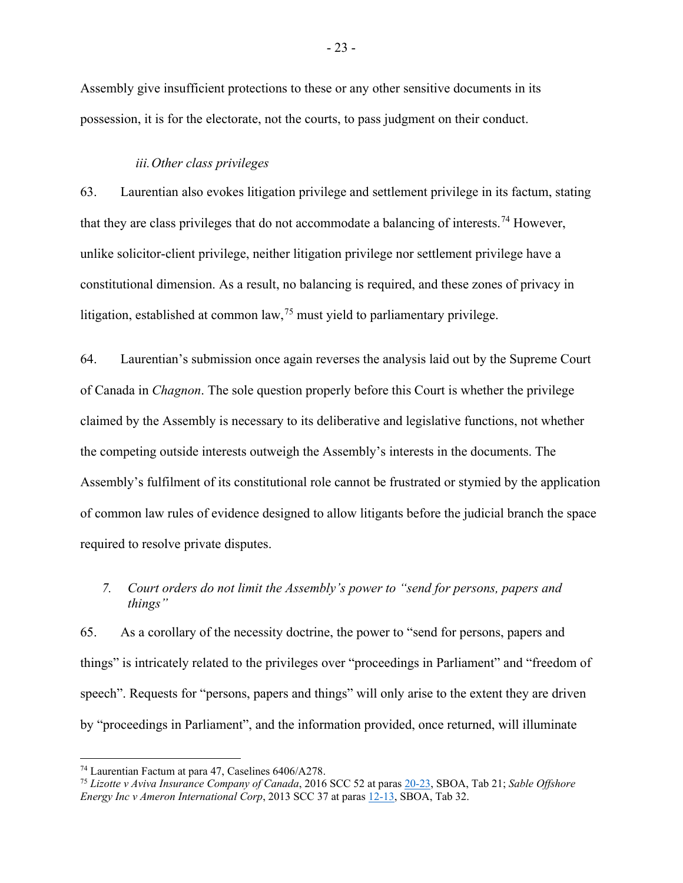Assembly give insufficient protections to these or any other sensitive documents in its possession, it is for the electorate, not the courts, to pass judgment on their conduct.

#### *iii.Other class privileges*

63. Laurentian also evokes litigation privilege and settlement privilege in its factum, stating that they are class privileges that do not accommodate a balancing of interests.<sup>[74](#page-26-1)</sup> However, unlike solicitor-client privilege, neither litigation privilege nor settlement privilege have a constitutional dimension. As a result, no balancing is required, and these zones of privacy in litigation, established at common law,  $^{75}$  $^{75}$  $^{75}$  must yield to parliamentary privilege.

64. Laurentian's submission once again reverses the analysis laid out by the Supreme Court of Canada in *Chagnon*. The sole question properly before this Court is whether the privilege claimed by the Assembly is necessary to its deliberative and legislative functions, not whether the competing outside interests outweigh the Assembly's interests in the documents. The Assembly's fulfilment of its constitutional role cannot be frustrated or stymied by the application of common law rules of evidence designed to allow litigants before the judicial branch the space required to resolve private disputes.

## <span id="page-26-0"></span>*7. Court orders do not limit the Assembly's power to "send for persons, papers and things"*

65. As a corollary of the necessity doctrine, the power to "send for persons, papers and things" is intricately related to the privileges over "proceedings in Parliament" and "freedom of speech". Requests for "persons, papers and things" will only arise to the extent they are driven by "proceedings in Parliament", and the information provided, once returned, will illuminate

<span id="page-26-1"></span><sup>74</sup> Laurentian Factum at para 47, Caselines 6406/A278.

<span id="page-26-2"></span><sup>75</sup> *Lizotte v Aviva Insurance Company of Canada*, 2016 SCC 52 at paras [20-23,](https://www.canlii.org/en/ca/scc/doc/2016/2016scc52/2016scc52.html?resultIndex=1#par20) SBOA, Tab 21; *Sable Offshore Energy Inc v Ameron International Corp*, 2013 SCC 37 at paras [12-13,](https://www.canlii.org/en/ca/scc/doc/2013/2013scc37/2013scc37.html?resultIndex=1#par12) SBOA, Tab 32.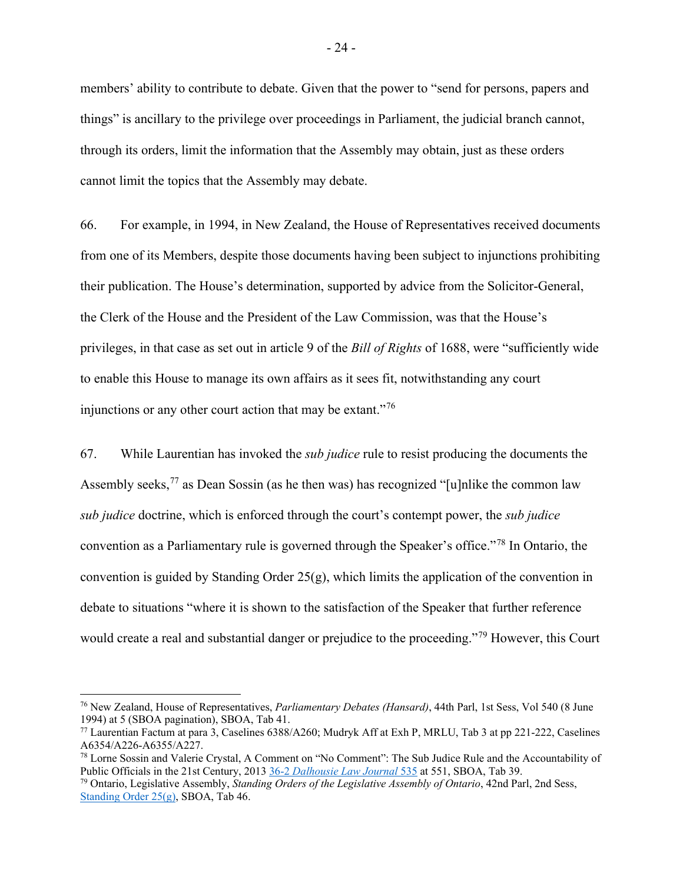members' ability to contribute to debate. Given that the power to "send for persons, papers and things" is ancillary to the privilege over proceedings in Parliament, the judicial branch cannot, through its orders, limit the information that the Assembly may obtain, just as these orders cannot limit the topics that the Assembly may debate.

66. For example, in 1994, in New Zealand, the House of Representatives received documents from one of its Members, despite those documents having been subject to injunctions prohibiting their publication. The House's determination, supported by advice from the Solicitor-General, the Clerk of the House and the President of the Law Commission, was that the House's privileges, in that case as set out in article 9 of the *Bill of Rights* of 1688, were "sufficiently wide to enable this House to manage its own affairs as it sees fit, notwithstanding any court injunctions or any other court action that may be extant."<sup>[76](#page-27-0)</sup>

67. While Laurentian has invoked the *sub judice* rule to resist producing the documents the Assembly seeks,  $^{77}$  $^{77}$  $^{77}$  as Dean Sossin (as he then was) has recognized "[u]nlike the common law *sub judice* doctrine, which is enforced through the court's contempt power, the *sub judice* convention as a Parliamentary rule is governed through the Speaker's office."[78](#page-27-2) In Ontario, the convention is guided by Standing Order  $25(g)$ , which limits the application of the convention in debate to situations "where it is shown to the satisfaction of the Speaker that further reference would create a real and substantial danger or prejudice to the proceeding."<sup>[79](#page-27-3)</sup> However, this Court

<span id="page-27-0"></span><sup>76</sup> New Zealand, House of Representatives, *Parliamentary Debates (Hansard)*, 44th Parl, 1st Sess, Vol 540 (8 June 1994) at 5 (SBOA pagination), SBOA, Tab 41.

<span id="page-27-1"></span><sup>77</sup> Laurentian Factum at para 3, Caselines 6388/A260; Mudryk Aff at Exh P, MRLU, Tab 3 at pp 221-222, Caselines A6354/A226-A6355/A227.

<span id="page-27-2"></span><sup>78</sup> Lorne Sossin and Valerie Crystal, A Comment on "No Comment": The Sub Judice Rule and the Accountability of Public Officials in the 21st Century, 2013 36-2 *[Dalhousie Law Journal](https://www.canlii.org/en/commentary/doc/2013CanLIIDocs749?zoupio-debug#!fragment//(hash:(chunk:(anchorText:)* 535 at 551, SBOA, Tab 39.

<span id="page-27-3"></span><sup>79</sup> Ontario, Legislative Assembly, *Standing Orders of the Legislative Assembly of Ontario*, 42nd Parl, 2nd Sess, [Standing Order 25\(g\),](https://www.ola.org/en/legislative-business/standing-orders) SBOA, Tab 46.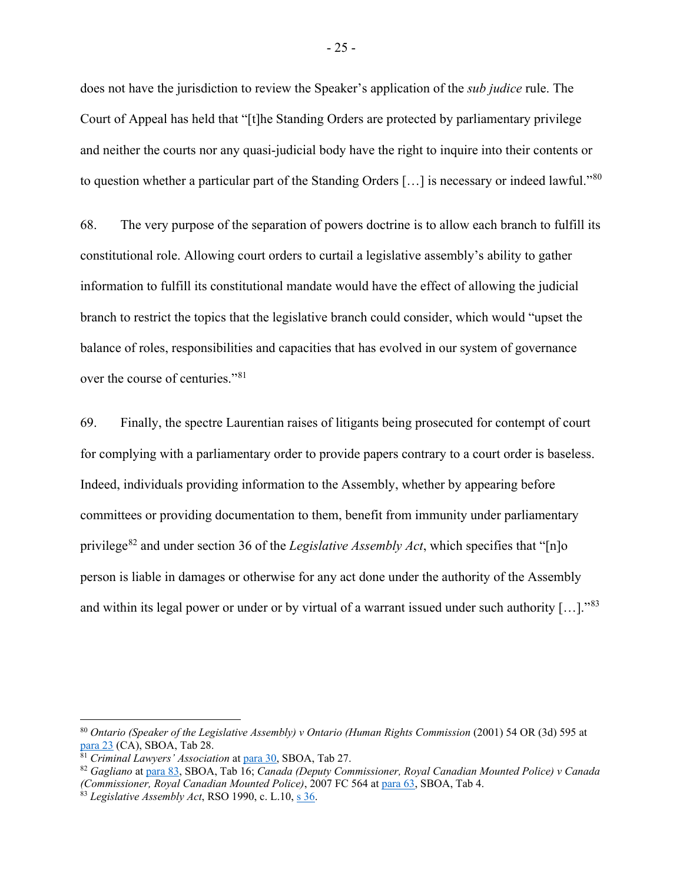does not have the jurisdiction to review the Speaker's application of the *sub judice* rule. The Court of Appeal has held that "[t]he Standing Orders are protected by parliamentary privilege and neither the courts nor any quasi-judicial body have the right to inquire into their contents or to question whether a particular part of the Standing Orders [...] is necessary or indeed lawful."[80](#page-28-0)

68. The very purpose of the separation of powers doctrine is to allow each branch to fulfill its constitutional role. Allowing court orders to curtail a legislative assembly's ability to gather information to fulfill its constitutional mandate would have the effect of allowing the judicial branch to restrict the topics that the legislative branch could consider, which would "upset the balance of roles, responsibilities and capacities that has evolved in our system of governance over the course of centuries."[81](#page-28-1)

69. Finally, the spectre Laurentian raises of litigants being prosecuted for contempt of court for complying with a parliamentary order to provide papers contrary to a court order is baseless. Indeed, individuals providing information to the Assembly, whether by appearing before committees or providing documentation to them, benefit from immunity under parliamentary privilege<sup>[82](#page-28-2)</sup> and under section 36 of the *Legislative Assembly Act*, which specifies that "[n]o person is liable in damages or otherwise for any act done under the authority of the Assembly and within its legal power or under or by virtual of a warrant issued under such authority  $[...]$ ."<sup>[83](#page-28-3)</sup>

<span id="page-28-0"></span><sup>80</sup> *Ontario (Speaker of the Legislative Assembly) v Ontario (Human Rights Commission* (2001) 54 OR (3d) 595 at [para 23](https://www.canlii.org/en/on/onca/doc/2001/2001canlii8549/2001canlii8549.html?resultIndex=1#par23) (CA), SBOA, Tab 28.

<span id="page-28-1"></span><sup>81</sup> *Criminal Lawyers' Association* at [para 30,](https://www.canlii.org/en/ca/scc/doc/2013/2013scc43/2013scc43.html?resultIndex=2#par30) SBOA, Tab 27.

<span id="page-28-2"></span><sup>82</sup> *Gagliano* at [para 83,](https://www.canlii.org/en/ca/fct/doc/2005/2005fc576/2005fc576.html#par83) SBOA, Tab 16; *Canada (Deputy Commissioner, Royal Canadian Mounted Police) v Canada (Commissioner, Royal Canadian Mounted Police)*, 2007 FC 564 at [para 63,](https://www.canlii.org/en/ca/fct/doc/2007/2007fc564/2007fc564.html?resultIndex=1#par63) SBOA, Tab 4.

<span id="page-28-3"></span><sup>83</sup> *Legislative Assembly Act*, RSO 1990, c. L.10, s. 36.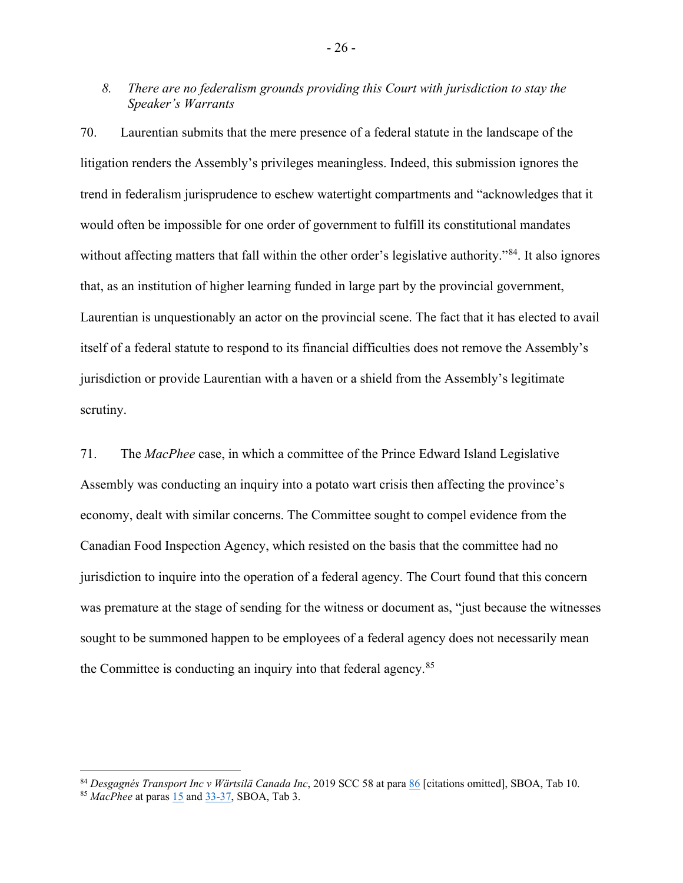## <span id="page-29-0"></span>*8. There are no federalism grounds providing this Court with jurisdiction to stay the Speaker's Warrants*

70. Laurentian submits that the mere presence of a federal statute in the landscape of the litigation renders the Assembly's privileges meaningless. Indeed, this submission ignores the trend in federalism jurisprudence to eschew watertight compartments and "acknowledges that it would often be impossible for one order of government to fulfill its constitutional mandates without affecting matters that fall within the other order's legislative authority."<sup>[84](#page-29-1)</sup>. It also ignores that, as an institution of higher learning funded in large part by the provincial government, Laurentian is unquestionably an actor on the provincial scene. The fact that it has elected to avail itself of a federal statute to respond to its financial difficulties does not remove the Assembly's jurisdiction or provide Laurentian with a haven or a shield from the Assembly's legitimate scrutiny.

71. The *MacPhee* case, in which a committee of the Prince Edward Island Legislative Assembly was conducting an inquiry into a potato wart crisis then affecting the province's economy, dealt with similar concerns. The Committee sought to compel evidence from the Canadian Food Inspection Agency, which resisted on the basis that the committee had no jurisdiction to inquire into the operation of a federal agency. The Court found that this concern was premature at the stage of sending for the witness or document as, "just because the witnesses sought to be summoned happen to be employees of a federal agency does not necessarily mean the Committee is conducting an inquiry into that federal agency.<sup>[85](#page-29-2)</sup>

- 26 -

<span id="page-29-2"></span><span id="page-29-1"></span><sup>84</sup> *Desgagnés Transport Inc v Wärtsilä Canada Inc*, 2019 SCC 58 at para [86](https://www.canlii.org/en/ca/scc/doc/2019/2019scc58/2019scc58.html?resultIndex=1#par86) [citations omitted], SBOA, Tab 10. <sup>85</sup> *MacPhee* at para[s 15](https://www.canlii.org/en/pe/pesctd/doc/2003/2003pesctd6/2003pesctd6.html?resultIndex=1) and [33-37,](https://www.canlii.org/en/pe/pesctd/doc/2003/2003pesctd6/2003pesctd6.html?resultIndex=1) SBOA, Tab 3.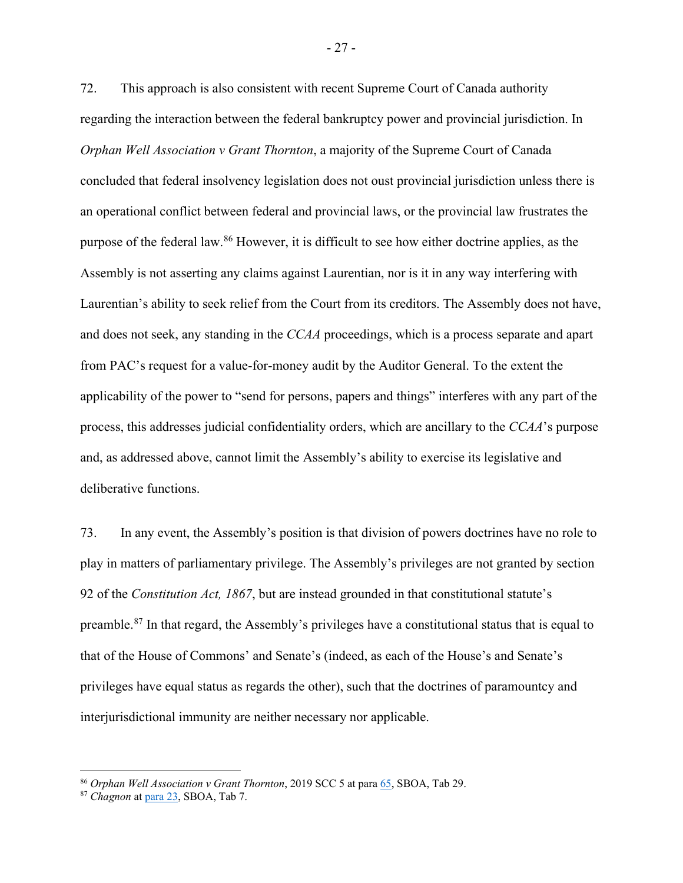72. This approach is also consistent with recent Supreme Court of Canada authority regarding the interaction between the federal bankruptcy power and provincial jurisdiction. In *Orphan Well Association v Grant Thornton*, a majority of the Supreme Court of Canada concluded that federal insolvency legislation does not oust provincial jurisdiction unless there is an operational conflict between federal and provincial laws, or the provincial law frustrates the purpose of the federal law.[86](#page-30-0) However, it is difficult to see how either doctrine applies, as the Assembly is not asserting any claims against Laurentian, nor is it in any way interfering with Laurentian's ability to seek relief from the Court from its creditors. The Assembly does not have, and does not seek, any standing in the *CCAA* proceedings, which is a process separate and apart from PAC's request for a value-for-money audit by the Auditor General. To the extent the applicability of the power to "send for persons, papers and things" interferes with any part of the process, this addresses judicial confidentiality orders, which are ancillary to the *CCAA*'s purpose and, as addressed above, cannot limit the Assembly's ability to exercise its legislative and deliberative functions.

73. In any event, the Assembly's position is that division of powers doctrines have no role to play in matters of parliamentary privilege. The Assembly's privileges are not granted by section 92 of the *Constitution Act, 1867*, but are instead grounded in that constitutional statute's preamble.[87](#page-30-1) In that regard, the Assembly's privileges have a constitutional status that is equal to that of the House of Commons' and Senate's (indeed, as each of the House's and Senate's privileges have equal status as regards the other), such that the doctrines of paramountcy and interjurisdictional immunity are neither necessary nor applicable.

<span id="page-30-0"></span><sup>86</sup> *Orphan Well Association v Grant Thornton*, 2019 SCC 5 at para [65,](https://www.canlii.org/en/ca/scc/doc/2019/2019scc5/2019scc5.html?resultIndex=1#par65) SBOA, Tab 29.

<span id="page-30-1"></span><sup>87</sup> *Chagnon* at [para 23,](https://www.canlii.org/en/ca/scc/doc/2018/2018scc39/2018scc39.html?resultIndex=1#par23) SBOA, Tab 7.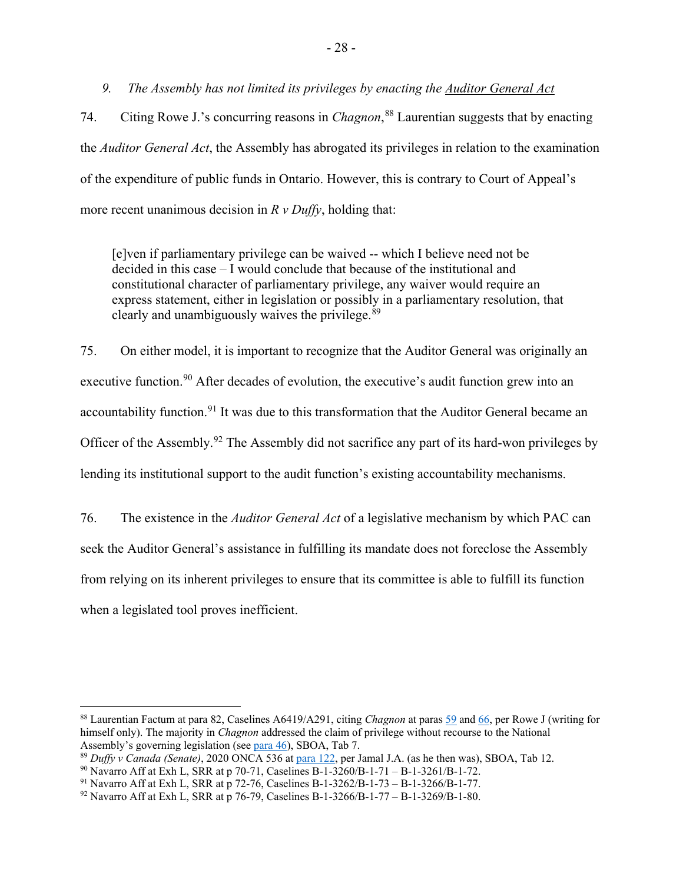<span id="page-31-0"></span>*9. The Assembly has not limited its privileges by enacting the Auditor General Act*

74. Citing Rowe J.'s concurring reasons in *Chagnon*, [88](#page-31-1) Laurentian suggests that by enacting the *Auditor General Act*, the Assembly has abrogated its privileges in relation to the examination of the expenditure of public funds in Ontario. However, this is contrary to Court of Appeal's more recent unanimous decision in *R v Duffy*, holding that:

[e]ven if parliamentary privilege can be waived -- which I believe need not be decided in this case – I would conclude that because of the institutional and constitutional character of parliamentary privilege, any waiver would require an express statement, either in legislation or possibly in a parliamentary resolution, that clearly and unambiguously waives the privilege. $89$ 

75. On either model, it is important to recognize that the Auditor General was originally an executive function.<sup>[90](#page-31-3)</sup> After decades of evolution, the executive's audit function grew into an accountability function.<sup>[91](#page-31-4)</sup> It was due to this transformation that the Auditor General became an Officer of the Assembly.[92](#page-31-5) The Assembly did not sacrifice any part of its hard-won privileges by lending its institutional support to the audit function's existing accountability mechanisms.

76. The existence in the *Auditor General Act* of a legislative mechanism by which PAC can seek the Auditor General's assistance in fulfilling its mandate does not foreclose the Assembly from relying on its inherent privileges to ensure that its committee is able to fulfill its function when a legislated tool proves inefficient.

<span id="page-31-1"></span><sup>88</sup> Laurentian Factum at para 82, Caselines A6419/A291, citing *Chagnon* at para[s 59](https://www.canlii.org/en/ca/scc/doc/2018/2018scc39/2018scc39.html?resultIndex=1#par59) and [66,](https://www.canlii.org/en/ca/scc/doc/2018/2018scc39/2018scc39.html?resultIndex=1#par66) per Rowe J (writing for himself only). The majority in *Chagnon* addressed the claim of privilege without recourse to the National Assembly's governing legislation (se[e para 46\)](https://www.canlii.org/en/ca/scc/doc/2018/2018scc39/2018scc39.html?resultIndex=1#par46), SBOA, Tab 7.

<span id="page-31-2"></span><sup>89</sup> *Duffy v Canada (Senate)*, 2020 ONCA 536 a[t para 122,](https://www.canlii.org/en/on/onca/doc/2020/2020onca536/2020onca536.html?resultIndex=1#par122) per Jamal J.A. (as he then was), SBOA, Tab 12.

<span id="page-31-3"></span><sup>90</sup> Navarro Aff at Exh L, SRR at p 70-71, Caselines B-1-3260/B-1-71 – B-1-3261/B-1-72.

<span id="page-31-4"></span><sup>91</sup> Navarro Aff at Exh L, SRR at p 72-76, Caselines B-1-3262/B-1-73 – B-1-3266/B-1-77.

<span id="page-31-5"></span><sup>92</sup> Navarro Aff at Exh L, SRR at p 76-79, Caselines B-1-3266/B-1-77 – B-1-3269/B-1-80.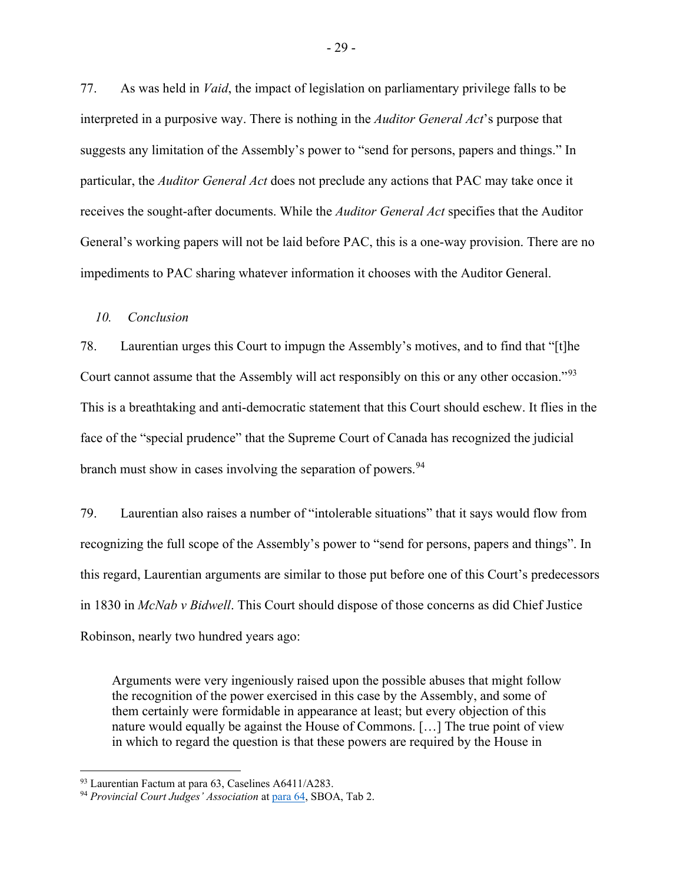77. As was held in *Vaid*, the impact of legislation on parliamentary privilege falls to be interpreted in a purposive way. There is nothing in the *Auditor General Act*'s purpose that suggests any limitation of the Assembly's power to "send for persons, papers and things." In particular, the *Auditor General Act* does not preclude any actions that PAC may take once it receives the sought-after documents. While the *Auditor General Act* specifies that the Auditor General's working papers will not be laid before PAC, this is a one-way provision. There are no impediments to PAC sharing whatever information it chooses with the Auditor General.

#### <span id="page-32-0"></span>*10. Conclusion*

78. Laurentian urges this Court to impugn the Assembly's motives, and to find that "[t]he Court cannot assume that the Assembly will act responsibly on this or any other occasion."[93](#page-32-1) This is a breathtaking and anti-democratic statement that this Court should eschew. It flies in the face of the "special prudence" that the Supreme Court of Canada has recognized the judicial branch must show in cases involving the separation of powers.<sup>[94](#page-32-2)</sup>

79. Laurentian also raises a number of "intolerable situations" that it says would flow from recognizing the full scope of the Assembly's power to "send for persons, papers and things". In this regard, Laurentian arguments are similar to those put before one of this Court's predecessors in 1830 in *McNab v Bidwell*. This Court should dispose of those concerns as did Chief Justice Robinson, nearly two hundred years ago:

Arguments were very ingeniously raised upon the possible abuses that might follow the recognition of the power exercised in this case by the Assembly, and some of them certainly were formidable in appearance at least; but every objection of this nature would equally be against the House of Commons. […] The true point of view in which to regard the question is that these powers are required by the House in

<span id="page-32-1"></span><sup>93</sup> Laurentian Factum at para 63, Caselines A6411/A283.

<span id="page-32-2"></span><sup>94</sup> *Provincial Court Judges' Association* at [para 64,](https://www.canlii.org/en/ca/scc/doc/2020/2020scc20/2020scc20.html?resultIndex=1#par64) SBOA, Tab 2.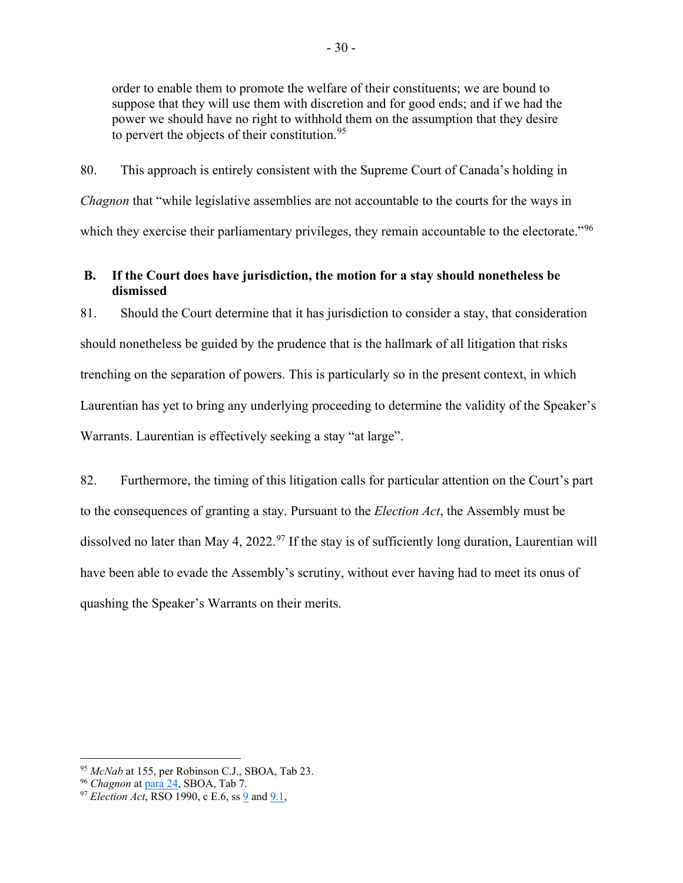order to enable them to promote the welfare of their constituents; we are bound to suppose that they will use them with discretion and for good ends; and if we had the power we should have no right to withhold them on the assumption that they desire to pervert the objects of their constitution.  $95$ 

80. This approach is entirely consistent with the Supreme Court of Canada's holding in *Chagnon* that "while legislative assemblies are not accountable to the courts for the ways in which they exercise their parliamentary privileges, they remain accountable to the electorate."<sup>[96](#page-33-2)</sup>

## <span id="page-33-0"></span>**B. If the Court does have jurisdiction, the motion for a stay should nonetheless be dismissed**

81. Should the Court determine that it has jurisdiction to consider a stay, that consideration should nonetheless be guided by the prudence that is the hallmark of all litigation that risks trenching on the separation of powers. This is particularly so in the present context, in which Laurentian has yet to bring any underlying proceeding to determine the validity of the Speaker's Warrants. Laurentian is effectively seeking a stay "at large".

82. Furthermore, the timing of this litigation calls for particular attention on the Court's part to the consequences of granting a stay. Pursuant to the *Election Act*, the Assembly must be dissolved no later than May 4, 2022.<sup>[97](#page-33-3)</sup> If the stay is of sufficiently long duration, Laurentian will have been able to evade the Assembly's scrutiny, without ever having had to meet its onus of quashing the Speaker's Warrants on their merits.

<span id="page-33-1"></span><sup>95</sup> *McNab* at 155, per Robinson C.J., SBOA, Tab 23.

<span id="page-33-2"></span><sup>96</sup> *Chagnon* at [para 24,](https://www.canlii.org/en/ca/scc/doc/2018/2018scc39/2018scc39.html?resultIndex=1#par24) SBOA, Tab 7.

<span id="page-33-3"></span><sup>97</sup> *Election Act*, RSO 1990, c E.6, ss [9](https://www.ontario.ca/laws/statute/90e06#BK41) and [9.1,](https://www.ontario.ca/laws/statute/90e06#BK43)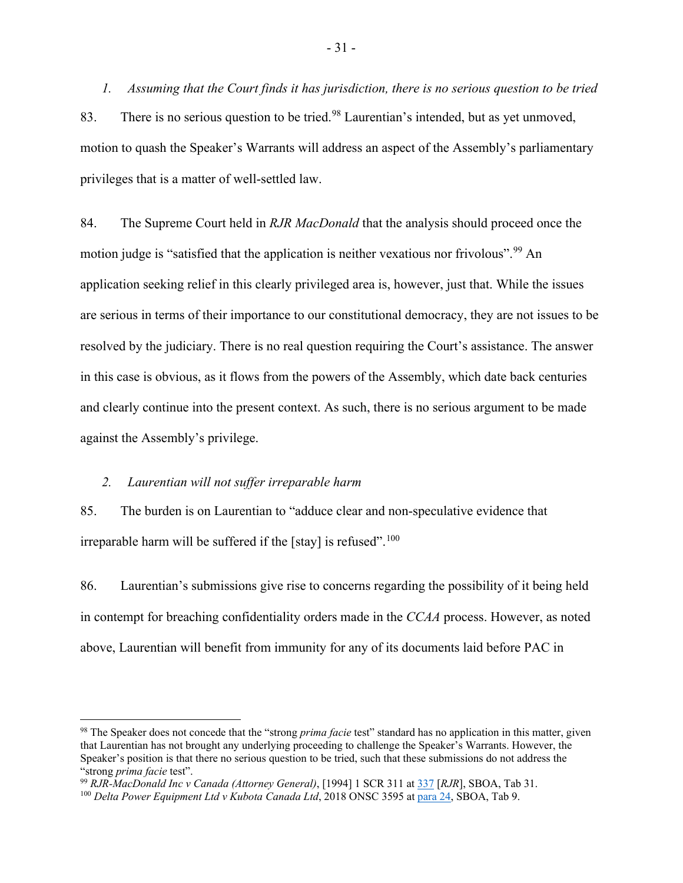<span id="page-34-0"></span>*1. Assuming that the Court finds it has jurisdiction, there is no serious question to be tried* 83. There is no serious question to be tried.<sup>[98](#page-34-2)</sup> Laurentian's intended, but as yet unmoved, motion to quash the Speaker's Warrants will address an aspect of the Assembly's parliamentary privileges that is a matter of well-settled law.

84. The Supreme Court held in *RJR MacDonald* that the analysis should proceed once the motion judge is "satisfied that the application is neither vexatious nor frivolous".<sup>[99](#page-34-3)</sup> An application seeking relief in this clearly privileged area is, however, just that. While the issues are serious in terms of their importance to our constitutional democracy, they are not issues to be resolved by the judiciary. There is no real question requiring the Court's assistance. The answer in this case is obvious, as it flows from the powers of the Assembly, which date back centuries and clearly continue into the present context. As such, there is no serious argument to be made against the Assembly's privilege.

#### <span id="page-34-1"></span>*2. Laurentian will not suffer irreparable harm*

85. The burden is on Laurentian to "adduce clear and non-speculative evidence that irreparable harm will be suffered if the [stay] is refused".<sup>[100](#page-34-4)</sup>

86. Laurentian's submissions give rise to concerns regarding the possibility of it being held in contempt for breaching confidentiality orders made in the *CCAA* process. However, as noted above, Laurentian will benefit from immunity for any of its documents laid before PAC in

<span id="page-34-2"></span><sup>98</sup> The Speaker does not concede that the "strong *prima facie* test" standard has no application in this matter, given that Laurentian has not brought any underlying proceeding to challenge the Speaker's Warrants. However, the Speaker's position is that there no serious question to be tried, such that these submissions do not address the "strong *prima facie* test".

<span id="page-34-3"></span><sup>99</sup> *RJR-MacDonald Inc v Canada (Attorney General)*, [1994] 1 SCR 311 at [337](https://www.canlii.org/en/ca/scc/doc/1994/1994canlii117/1994canlii117.pdf) [*RJR*], SBOA, Tab 31.

<span id="page-34-4"></span><sup>100</sup> *Delta Power Equipment Ltd v Kubota Canada Ltd*, 2018 ONSC 3595 a[t para 24,](https://www.canlii.org/en/on/onsc/doc/2018/2018onsc3595/2018onsc3595.html?resultIndex=1#par24) SBOA, Tab 9.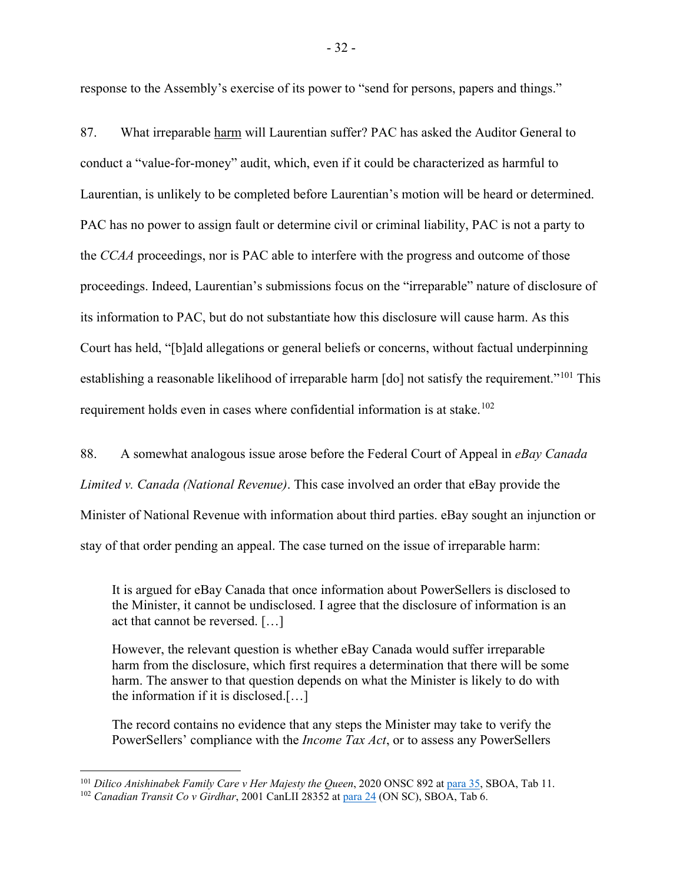response to the Assembly's exercise of its power to "send for persons, papers and things."

87. What irreparable harm will Laurentian suffer? PAC has asked the Auditor General to conduct a "value-for-money" audit, which, even if it could be characterized as harmful to Laurentian, is unlikely to be completed before Laurentian's motion will be heard or determined. PAC has no power to assign fault or determine civil or criminal liability, PAC is not a party to the *CCAA* proceedings, nor is PAC able to interfere with the progress and outcome of those proceedings. Indeed, Laurentian's submissions focus on the "irreparable" nature of disclosure of its information to PAC, but do not substantiate how this disclosure will cause harm. As this Court has held, "[b]ald allegations or general beliefs or concerns, without factual underpinning establishing a reasonable likelihood of irreparable harm [do] not satisfy the requirement."<sup>[101](#page-35-0)</sup> This requirement holds even in cases where confidential information is at stake.<sup>[102](#page-35-1)</sup>

88. A somewhat analogous issue arose before the Federal Court of Appeal in *eBay Canada Limited v. Canada (National Revenue)*. This case involved an order that eBay provide the Minister of National Revenue with information about third parties. eBay sought an injunction or stay of that order pending an appeal. The case turned on the issue of irreparable harm:

It is argued for eBay Canada that once information about PowerSellers is disclosed to the Minister, it cannot be undisclosed. I agree that the disclosure of information is an act that cannot be reversed. […]

However, the relevant question is whether eBay Canada would suffer irreparable harm from the disclosure, which first requires a determination that there will be some harm. The answer to that question depends on what the Minister is likely to do with the information if it is disclosed.[…]

The record contains no evidence that any steps the Minister may take to verify the PowerSellers' compliance with the *Income Tax Act*, or to assess any PowerSellers

<span id="page-35-0"></span><sup>101</sup> *Dilico Anishinabek Family Care v Her Majesty the Queen*, 2020 ONSC 892 at [para 35,](https://www.canlii.org/en/on/onscdc/doc/2020/2020onsc892/2020onsc892.html#par35) SBOA, Tab 11.

<span id="page-35-1"></span><sup>&</sup>lt;sup>102</sup> Canadian Transit Co v Girdhar, 2001 CanLII 28352 a[t para 24](https://www.canlii.org/en/on/onsc/doc/2001/2001canlii28352/2001canlii28352.html?resultIndex=1#par24) (ON SC), SBOA, Tab 6.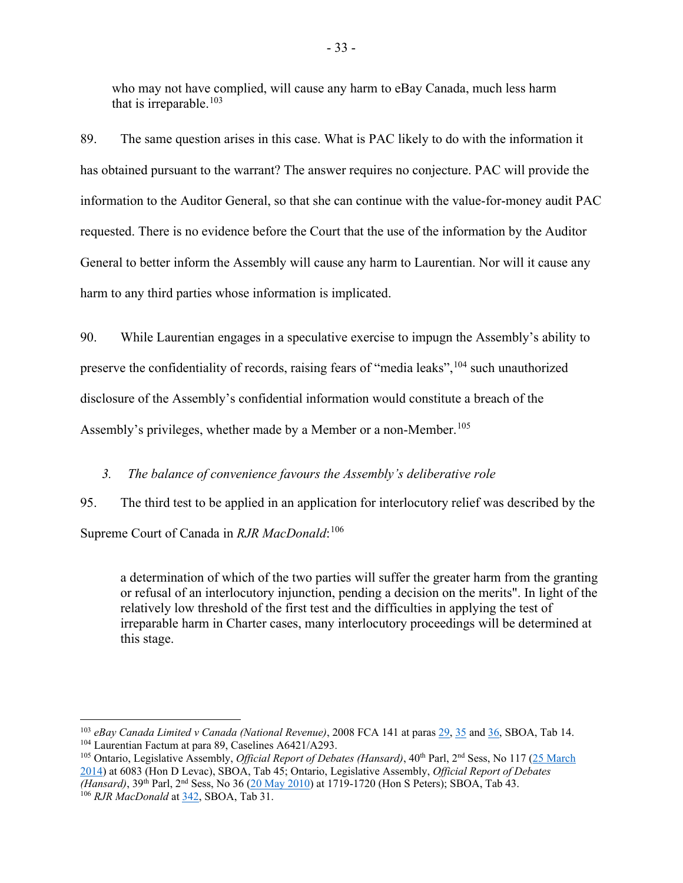who may not have complied, will cause any harm to eBay Canada, much less harm that is irreparable.<sup>[103](#page-36-1)</sup>

89. The same question arises in this case. What is PAC likely to do with the information it has obtained pursuant to the warrant? The answer requires no conjecture. PAC will provide the information to the Auditor General, so that she can continue with the value-for-money audit PAC requested. There is no evidence before the Court that the use of the information by the Auditor General to better inform the Assembly will cause any harm to Laurentian. Nor will it cause any harm to any third parties whose information is implicated.

90. While Laurentian engages in a speculative exercise to impugn the Assembly's ability to preserve the confidentiality of records, raising fears of "media leaks", <sup>[104](#page-36-2)</sup> such unauthorized disclosure of the Assembly's confidential information would constitute a breach of the Assembly's privileges, whether made by a Member or a non-Member.<sup>[105](#page-36-3)</sup>

## <span id="page-36-0"></span>*3. The balance of convenience favours the Assembly's deliberative role*

95. The third test to be applied in an application for interlocutory relief was described by the Supreme Court of Canada in *RJR MacDonald*: [106](#page-36-4)

a determination of which of the two parties will suffer the greater harm from the granting or refusal of an interlocutory injunction, pending a decision on the merits". In light of the relatively low threshold of the first test and the difficulties in applying the test of irreparable harm in Charter cases, many interlocutory proceedings will be determined at this stage.

<span id="page-36-1"></span><sup>103</sup> *eBay Canada Limited v Canada (National Revenue)*, 2008 FCA 141 at paras [29,](https://www.canlii.org/en/ca/fca/doc/2008/2008fca141/2008fca141.html?resultIndex=1#par29) [35](https://www.canlii.org/en/ca/fca/doc/2008/2008fca141/2008fca141.html?resultIndex=1#par35) and [36,](https://www.canlii.org/en/ca/fca/doc/2008/2008fca141/2008fca141.html?resultIndex=1#par36) SBOA, Tab 14. <sup>104</sup> Laurentian Factum at para 89, Caselines A6421/A293.

<span id="page-36-4"></span><span id="page-36-3"></span><span id="page-36-2"></span><sup>&</sup>lt;sup>105</sup> Ontario, Legislative Assembly, *Official Report of Debates (Hansard)*, 40<sup>th</sup> Parl, 2<sup>nd</sup> Sess, No 117 (25 March [2014\)](https://www.ola.org/sites/default/files/node-files/hansard/document/pdf/2014/2014-03/house-document-hansard-transcript-2-EN-25-MAR-2014_L117.pdf) at 6083 (Hon D Levac), SBOA, Tab 45; Ontario, Legislative Assembly, *Official Report of Debates (Hansard)*, 39<sup>th</sup> Parl, 2<sup>nd</sup> Sess, No 36 [\(20 May 2010\)](https://www.ola.org/sites/default/files/node-files/hansard/document/pdf/2010/2010-05/house-document-hansard-transcript-2-EN-20-MAY-2010_L036.pdf) at 1719-1720 (Hon S Peters); SBOA, Tab 43. <sup>106</sup> *RJR MacDonald* at [342,](https://www.canlii.org/en/ca/scc/doc/1994/1994canlii117/1994canlii117.pdf) SBOA, Tab 31.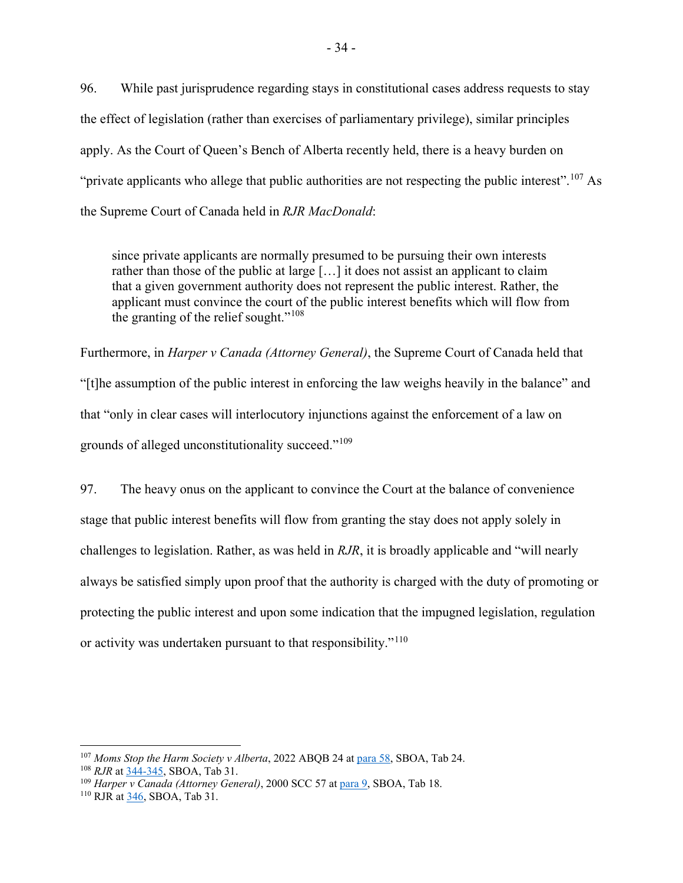96. While past jurisprudence regarding stays in constitutional cases address requests to stay the effect of legislation (rather than exercises of parliamentary privilege), similar principles apply. As the Court of Queen's Bench of Alberta recently held, there is a heavy burden on "private applicants who allege that public authorities are not respecting the public interest".<sup>[107](#page-37-0)</sup> As the Supreme Court of Canada held in *RJR MacDonald*:

since private applicants are normally presumed to be pursuing their own interests rather than those of the public at large […] it does not assist an applicant to claim that a given government authority does not represent the public interest. Rather, the applicant must convince the court of the public interest benefits which will flow from the granting of the relief sought."<sup>[108](#page-37-1)</sup>

Furthermore, in *Harper v Canada (Attorney General)*, the Supreme Court of Canada held that "[t]he assumption of the public interest in enforcing the law weighs heavily in the balance" and that "only in clear cases will interlocutory injunctions against the enforcement of a law on grounds of alleged unconstitutionality succeed."[109](#page-37-2)

97. The heavy onus on the applicant to convince the Court at the balance of convenience stage that public interest benefits will flow from granting the stay does not apply solely in challenges to legislation. Rather, as was held in *RJR*, it is broadly applicable and "will nearly always be satisfied simply upon proof that the authority is charged with the duty of promoting or protecting the public interest and upon some indication that the impugned legislation, regulation or activity was undertaken pursuant to that responsibility."<sup>[110](#page-37-3)</sup>

<span id="page-37-0"></span><sup>107</sup> *Moms Stop the Harm Society v Alberta*, 2022 ABQB 24 at [para 58,](https://www.canlii.org/en/ab/abqb/doc/2022/2022abqb24/2022abqb24.html?resultIndex=1#par58) SBOA, Tab 24.

<span id="page-37-1"></span><sup>108</sup> *RJR* at [344-345,](https://www.canlii.org/en/ca/scc/doc/1994/1994canlii117/1994canlii117.pdf) SBOA, Tab 31.

<span id="page-37-2"></span><sup>109</sup> *Harper v Canada (Attorney General)*, 2000 SCC 57 at [para 9,](https://www.canlii.org/en/ca/scc/doc/2000/2000scc57/2000scc57.html?resultIndex=1) SBOA, Tab 18.

<span id="page-37-3"></span><sup>110</sup> RJR a[t 346,](https://www.canlii.org/en/ca/scc/doc/1994/1994canlii117/1994canlii117.pdf) SBOA, Tab 31.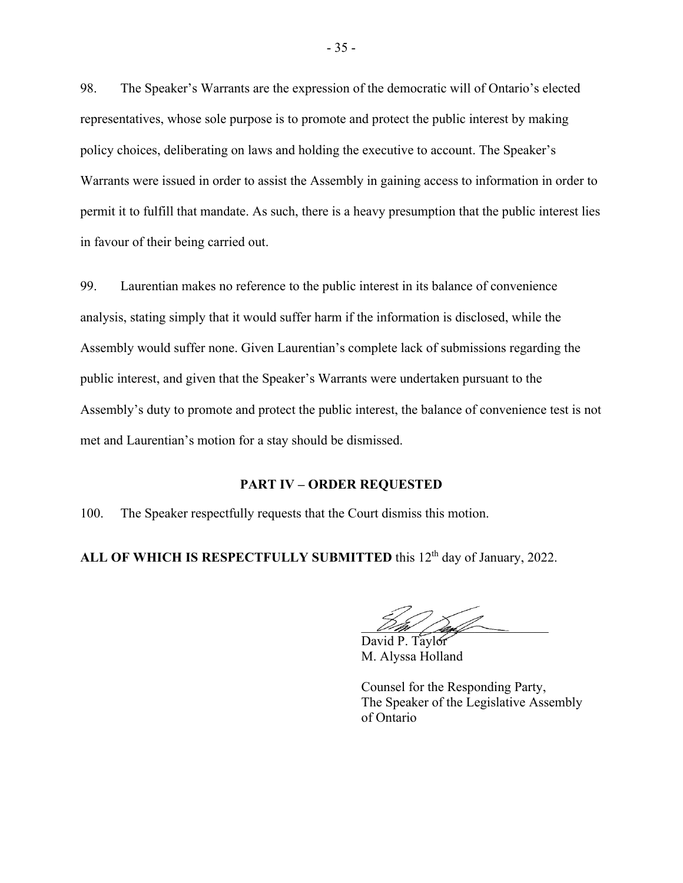98. The Speaker's Warrants are the expression of the democratic will of Ontario's elected representatives, whose sole purpose is to promote and protect the public interest by making policy choices, deliberating on laws and holding the executive to account. The Speaker's Warrants were issued in order to assist the Assembly in gaining access to information in order to permit it to fulfill that mandate. As such, there is a heavy presumption that the public interest lies in favour of their being carried out.

99. Laurentian makes no reference to the public interest in its balance of convenience analysis, stating simply that it would suffer harm if the information is disclosed, while the Assembly would suffer none. Given Laurentian's complete lack of submissions regarding the public interest, and given that the Speaker's Warrants were undertaken pursuant to the Assembly's duty to promote and protect the public interest, the balance of convenience test is not met and Laurentian's motion for a stay should be dismissed.

#### **PART IV – ORDER REQUESTED**

<span id="page-38-0"></span>100. The Speaker respectfully requests that the Court dismiss this motion.

ALL OF WHICH IS RESPECTFULLY SUBMITTED this 12<sup>th</sup> day of January, 2022.

 $D\mathscr{W}/D$ 

David P. Taylor M. Alyssa Holland

Counsel for the Responding Party, The Speaker of the Legislative Assembly of Ontario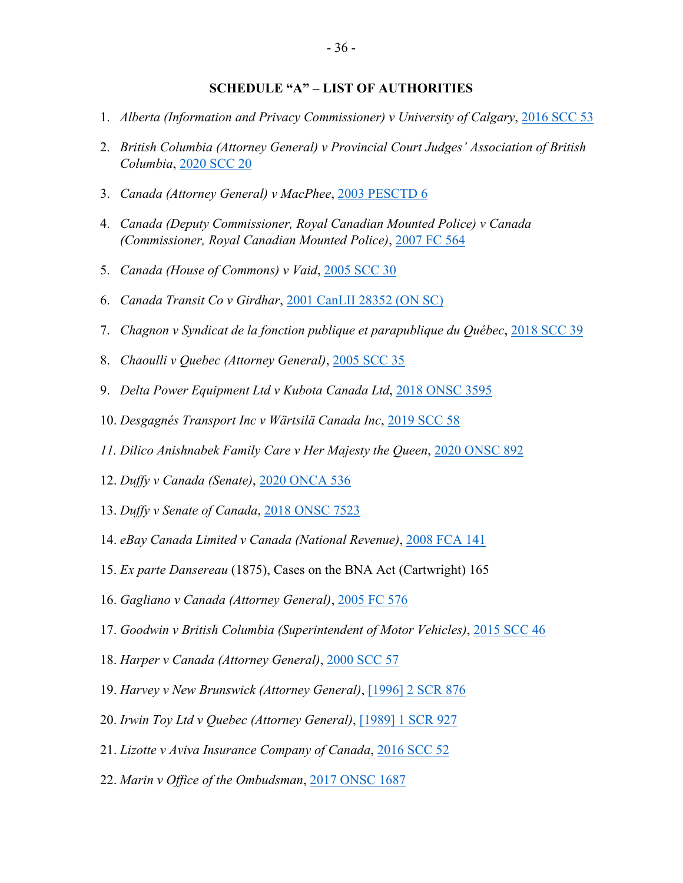## **SCHEDULE "A" – LIST OF AUTHORITIES**

- <span id="page-39-0"></span>1. *Alberta (Information and Privacy Commissioner) v University of Calgary*, [2016 SCC 53](https://canlii.ca/t/gvskr)
- 2. *British Columbia (Attorney General) v Provincial Court Judges' Association of British Columbia*, [2020 SCC 20](https://canlii.ca/t/j8xd1)
- 3. *Canada (Attorney General) v MacPhee*, [2003 PESCTD 6](https://canlii.ca/t/510d)
- 4. *Canada (Deputy Commissioner, Royal Canadian Mounted Police) v Canada (Commissioner, Royal Canadian Mounted Police)*, [2007 FC 564](https://canlii.ca/t/1rmrd)
- 5. *Canada (House of Commons) v Vaid*, [2005 SCC 30](https://canlii.ca/t/1kt5k)
- 6. *Canada Transit Co v Girdhar*, [2001 CanLII 28352 \(ON SC\)](https://canlii.ca/t/1wcpk)
- 7. *Chagnon v Syndicat de la fonction publique et parapublique du Québec*, [2018 SCC 39](https://canlii.ca/t/hvf8d)
- 8. *Chaoulli v Quebec (Attorney General)*, [2005 SCC 35](https://canlii.ca/t/1kxrh)
- 9. *Delta Power Equipment Ltd v Kubota Canada Ltd*, [2018 ONSC 3595](https://canlii.ca/t/hsfq7)
- 10. *Desgagnés Transport Inc v Wärtsilä Canada Inc*, [2019 SCC 58](https://canlii.ca/t/j3n27)
- *11. Dilico Anishnabek Family Care v Her Majesty the Queen*, [2020 ONSC 892](https://canlii.ca/t/j55nw)
- 12. *Duffy v Canada (Senate)*, [2020 ONCA 536](https://canlii.ca/t/j9fd2)
- 13. *Duffy v Senate of Canada*, [2018 ONSC 7523](https://canlii.ca/t/hwm52)
- 14. *eBay Canada Limited v Canada (National Revenue)*, [2008 FCA 141](https://canlii.ca/t/1wmvc)
- 15. *Ex parte Dansereau* (1875), Cases on the BNA Act (Cartwright) 165
- 16. *Gagliano v Canada (Attorney General)*, [2005 FC 576](https://canlii.ca/t/1kw8l)
- 17. *Goodwin v British Columbia (Superintendent of Motor Vehicles)*, [2015 SCC 46](https://canlii.ca/t/glm97)
- 18. *Harper v Canada (Attorney General)*, [2000 SCC 57](https://canlii.ca/t/524l)
- 19. *Harvey v New Brunswick (Attorney General)*, [\[1996\] 2 SCR 876](https://canlii.ca/t/1fr6z)
- 20. *Irwin Toy Ltd v Quebec (Attorney General)*, [\[1989\] 1 SCR 927](https://canlii.ca/t/1ft6g)
- 21. *Lizotte v Aviva Insurance Company of Canada*, [2016 SCC 52](https://canlii.ca/t/gvskp)
- 22. *Marin v Office of the Ombudsman*, [2017 ONSC 1687](https://canlii.ca/t/h1sb9)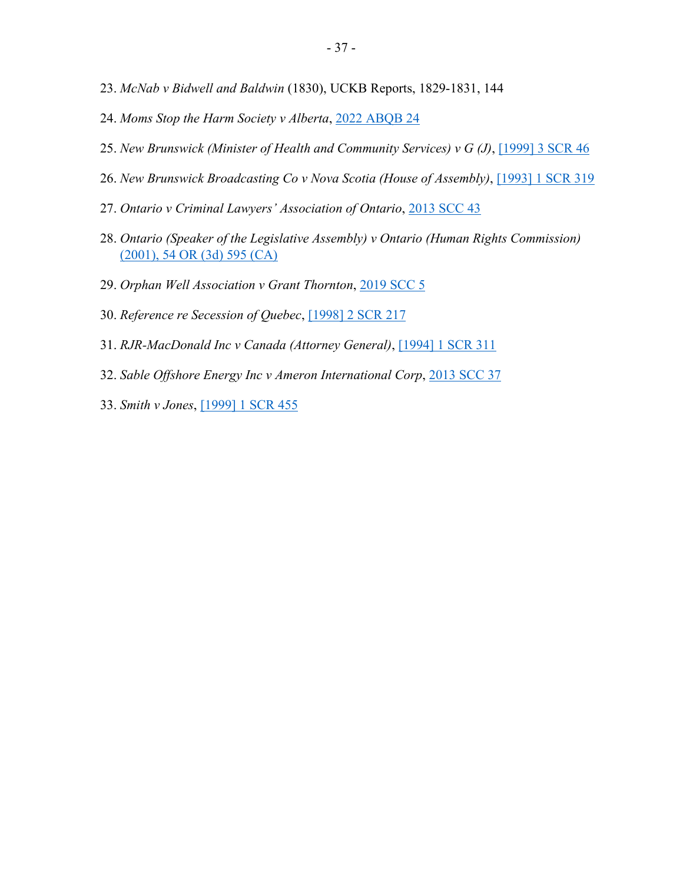- 23. *McNab v Bidwell and Baldwin* (1830), UCKB Reports, 1829-1831, 144
- 24. *Moms Stop the Harm Society v Alberta*, [2022 ABQB 24](https://canlii.ca/t/jlmxv)
- 25. *New Brunswick (Minister of Health and Community Services) v G (J)*, [\[1999\] 3 SCR 46](https://canlii.ca/t/1fqjw)
- 26. *New Brunswick Broadcasting Co v Nova Scotia (House of Assembly)*, [\[1993\] 1 SCR 319](https://canlii.ca/t/1bsww)
- 27. *Ontario v Criminal Lawyers' Association of Ontario*, [2013 SCC 43](https://canlii.ca/t/fzw43)
- 28. *Ontario (Speaker of the Legislative Assembly) v Ontario (Human Rights Commission)* [\(2001\), 54 OR \(3d\) 595 \(CA\)](https://canlii.ca/t/1fbvv)
- 29. *Orphan Well Association v Grant Thornton*, [2019 SCC 5](https://canlii.ca/t/hx95f)
- 30. *Reference re Secession of Quebec*, [\[1998\] 2 SCR 217](https://canlii.ca/t/1fqr3)
- 31. *RJR-MacDonald Inc v Canada (Attorney General)*, [\[1994\] 1 SCR 311](https://canlii.ca/t/1frtw)
- 32. *Sable Offshore Energy Inc v Ameron International Corp*, [2013 SCC 37](https://canlii.ca/t/fzcgw)
- 33. *Smith v Jones*, [\[1999\] 1 SCR 455](https://canlii.ca/t/1fqp9)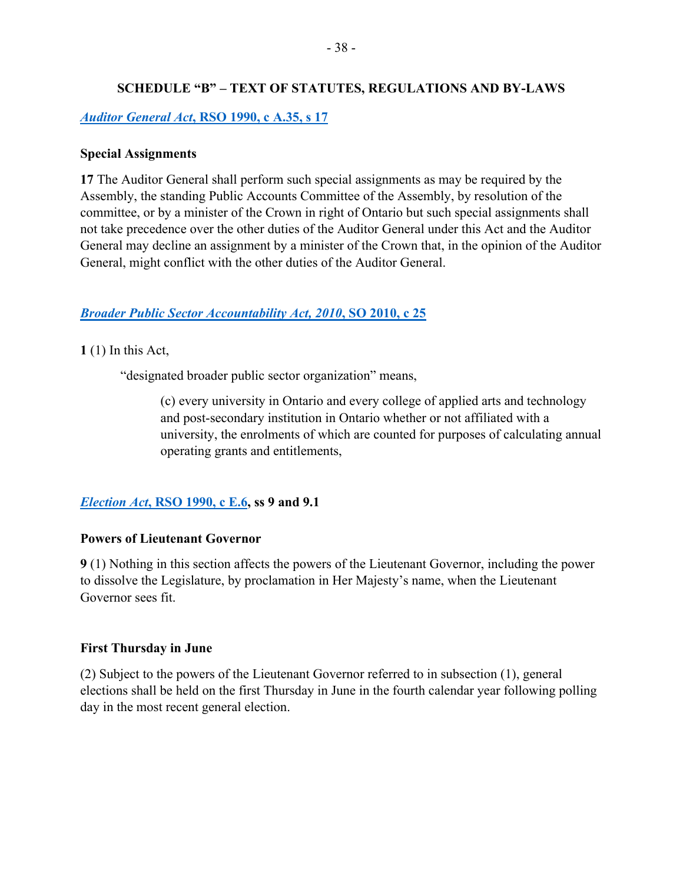## **SCHEDULE "B" – TEXT OF STATUTES, REGULATIONS AND BY-LAWS**

## <span id="page-41-0"></span>*Auditor General Act***[, RSO 1990, c A.35, s 17](https://www.ontario.ca/laws/statute/90a35)**

## **Special Assignments**

**17** The Auditor General shall perform such special assignments as may be required by the Assembly, the standing Public Accounts Committee of the Assembly, by resolution of the committee, or by a minister of the Crown in right of Ontario but such special assignments shall not take precedence over the other duties of the Auditor General under this Act and the Auditor General may decline an assignment by a minister of the Crown that, in the opinion of the Auditor General, might conflict with the other duties of the Auditor General.

## *[Broader Public Sector Accountability Act, 2010](https://www.ontario.ca/laws/statute/10b25)***, SO 2010, c 25**

**1** (1) In this Act,

"designated broader public sector organization" means,

(c) every university in Ontario and every college of applied arts and technology and post-secondary institution in Ontario whether or not affiliated with a university, the enrolments of which are counted for purposes of calculating annual operating grants and entitlements,

## *Election Act***[, RSO 1990, c E.6,](https://www.ontario.ca/laws/statute/90e06) ss 9 and 9.1**

## **Powers of Lieutenant Governor**

**9** (1) Nothing in this section affects the powers of the Lieutenant Governor, including the power to dissolve the Legislature, by proclamation in Her Majesty's name, when the Lieutenant Governor sees fit.

## **First Thursday in June**

(2) Subject to the powers of the Lieutenant Governor referred to in subsection (1), general elections shall be held on the first Thursday in June in the fourth calendar year following polling day in the most recent general election.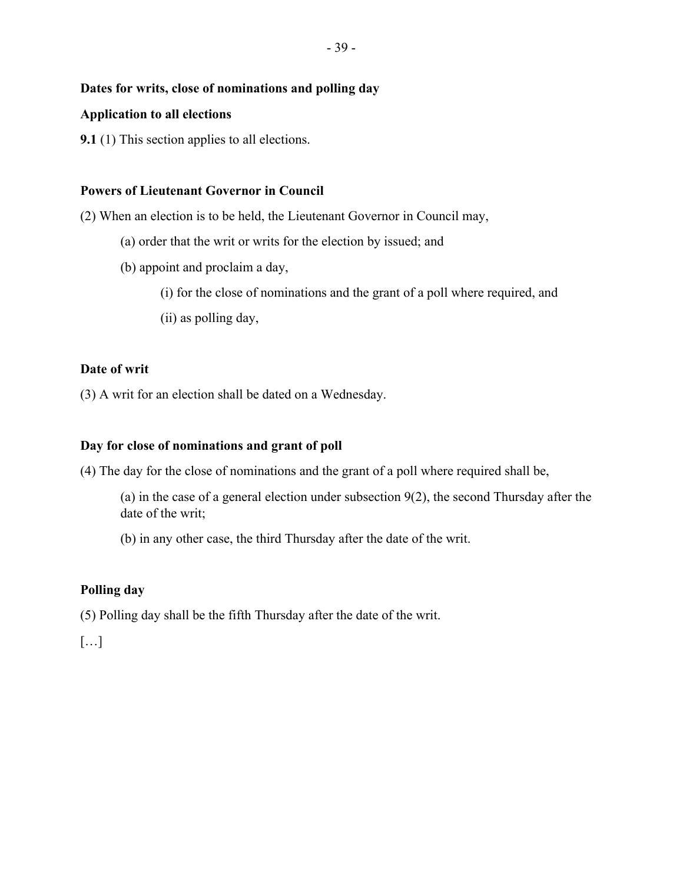## **Dates for writs, close of nominations and polling day**

## **Application to all elections**

**9.1** (1) This section applies to all elections.

## **Powers of Lieutenant Governor in Council**

(2) When an election is to be held, the Lieutenant Governor in Council may,

- (a) order that the writ or writs for the election by issued; and
- (b) appoint and proclaim a day,
	- (i) for the close of nominations and the grant of a poll where required, and
	- (ii) as polling day,

## **Date of writ**

(3) A writ for an election shall be dated on a Wednesday.

## **Day for close of nominations and grant of poll**

(4) The day for the close of nominations and the grant of a poll where required shall be,

(a) in the case of a general election under subsection 9(2), the second Thursday after the date of the writ;

(b) in any other case, the third Thursday after the date of the writ.

## **Polling day**

(5) Polling day shall be the fifth Thursday after the date of the writ.

[…]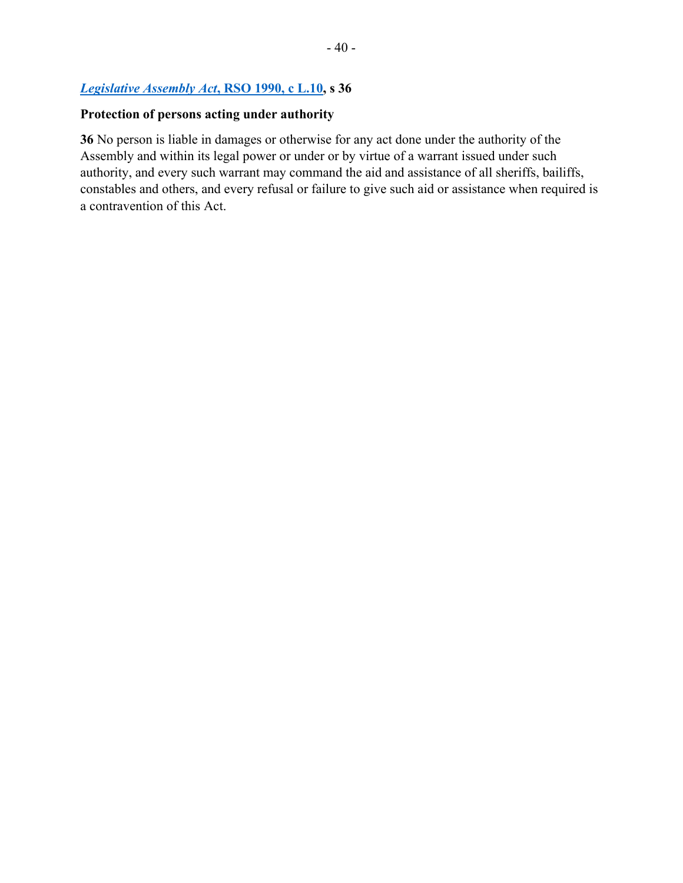## *[Legislative Assembly Act](https://www.ontario.ca/laws/statute/90l10)***, RSO 1990, c L.10, s 36**

# **Protection of persons acting under authority**

**36** No person is liable in damages or otherwise for any act done under the authority of the Assembly and within its legal power or under or by virtue of a warrant issued under such authority, and every such warrant may command the aid and assistance of all sheriffs, bailiffs, constables and others, and every refusal or failure to give such aid or assistance when required is a contravention of this Act.